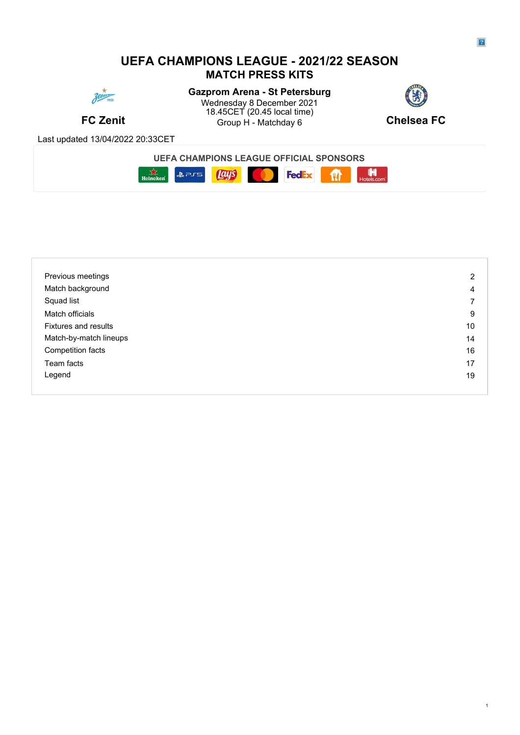## **UEFA CHAMPIONS LEAGUE - 2021/22 SEASON MATCH PRESS KITS**



**FC Zenit** Group H - Matchday 6 **Gazprom Arena - St Petersburg** Wednesday 8 December 2021 **Contract Contract Contract Contract Contract Contract Contract Contract Contract Contract Contract Contract Contract Contract Contract Contract Contract Contract Contract Contract Contract Contra** 18.45CET (20.45 local time)



Group H - Matchday 6 **Chelsea FC** 

Last updated 13/04/2022 20:33CET



| Previous meetings           | 2  |
|-----------------------------|----|
| Match background            | 4  |
| Squad list                  | ⇁  |
| Match officials             | 9  |
| <b>Fixtures and results</b> | 10 |
| Match-by-match lineups      | 14 |
| Competition facts           | 16 |
| Team facts                  | 17 |
| Legend                      | 19 |
|                             |    |

1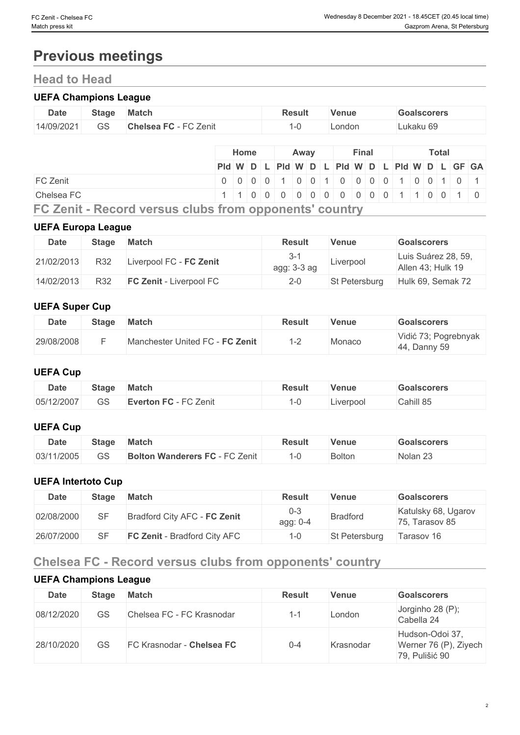## **Previous meetings**

## **Head to Head**

## **UEFA Champions League**

| <b>Date</b> | <b>Stage</b>  | <b>Match</b>               | Result | Venue  | <b>Goalscorers</b> |
|-------------|---------------|----------------------------|--------|--------|--------------------|
| 14/09/2021  | $\cap$<br>ں ت | ⊤∩ Zenit<br><b>Chelsea</b> |        | _ondon | ∟ukaku 69          |

|            | <b>Home</b>                                   |  | Away |  | Final |  |  | <b>Total</b> |  |  |
|------------|-----------------------------------------------|--|------|--|-------|--|--|--------------|--|--|
|            | Pid W D L Pid W D L Pid W D L Pid W D L GF GA |  |      |  |       |  |  |              |  |  |
| FC Zenit   | 0 0 0 0 0 1 0 0 1 0 0 0 0 0 1 0 0 1 0 0 1     |  |      |  |       |  |  |              |  |  |
| Chelsea FC | 1 1 0 0 0 0 0 0 0 0 0 0 0 0 1 1 0 0 1 0       |  |      |  |       |  |  |              |  |  |
| _________  |                                               |  |      |  |       |  |  |              |  |  |

**FC Zenit - Record versus clubs from opponents' country**

## **UEFA Europa League**

| <b>Date</b> | <b>Stage</b> | <b>Match</b>                   | <b>Result</b>            | Venue         | <b>Goalscorers</b>                       |
|-------------|--------------|--------------------------------|--------------------------|---------------|------------------------------------------|
| 21/02/2013  | R32          | Liverpool FC - FC Zenit        | $3 - 7$<br>$agg: 3-3 ag$ | Liverpool     | Luis Suárez 28, 59,<br>Allen 43: Hulk 19 |
| 14/02/2013  | R32          | <b>FC Zenit - Liverpool FC</b> | $2 - 0$                  | St Petersburg | Hulk 69, Semak 72                        |

## **UEFA Super Cup**

| <b>Date</b> | <b>Stage</b> | <b>Match</b>                    | <b>Result</b> | Venue  | Goalscorers                          |
|-------------|--------------|---------------------------------|---------------|--------|--------------------------------------|
| 29/08/2008  |              | Manchester United FC - FC Zenit | ı – ,         | Monaco | Vidić 73; Pogrebnyak<br>44, Danny 59 |

## **UEFA Cup**

| <b>Date</b> | Stage    | <b>Match</b>          | Result | Venue     | <b>Goalscorers</b> |
|-------------|----------|-----------------------|--------|-----------|--------------------|
| 05/12/2007  | ⌒⌒<br>55 | Everton FC - FC Zenit |        | ∟iverpool | Cahill 85          |

## **UEFA Cup**

| <b>Date</b> | Stage       | <b>Match</b>                                                                   | Result | Venue         | <b>Goalscorers</b> |
|-------------|-------------|--------------------------------------------------------------------------------|--------|---------------|--------------------|
| 03/11/2005  | $\cap$<br>◡ | $\sim$ $\sim$<br><b>Bolton Wanderers</b><br>$\mathbf{r}$<br>C Zenit<br>- U - L | .      | <b>Bolton</b> | Nolan 25           |

## **UEFA Intertoto Cup**

| Date       | Stage | <b>Match</b>                        | Result          | Venue           | <b>Goalscorers</b>                    |
|------------|-------|-------------------------------------|-----------------|-----------------|---------------------------------------|
| 02/08/2000 |       | Bradford City AFC - FC Zenit        | 0-3<br>agg: 0-4 | <b>Bradford</b> | Katulsky 68, Ugarov<br>75, Tarasov 85 |
| 26/07/2000 |       | <b>FC Zenit - Bradford City AFC</b> | . -0            | St Petersburg   | Tarasov 16                            |

## **Chelsea FC - Record versus clubs from opponents' country**

## **UEFA Champions League**

| <b>Date</b> | <b>Stage</b> | Match                     | <b>Result</b> | Venue     | <b>Goalscorers</b>                                         |
|-------------|--------------|---------------------------|---------------|-----------|------------------------------------------------------------|
| 08/12/2020  | GS           | Chelsea FC - FC Krasnodar | $1 - 1$       | London    | Jorginho 28 (P);<br>Cabella 24                             |
| 28/10/2020  | GS           | FC Krasnodar - Chelsea FC | $0 - 4$       | Krasnodar | Hudson-Odoi 37,<br>Werner 76 (P), Ziyech<br>79, Pulišić 90 |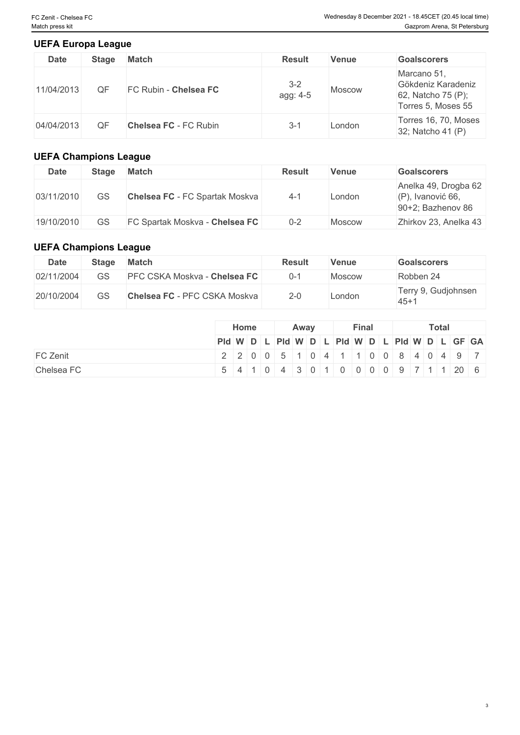3

## **UEFA Europa League**

| <b>Date</b> | <b>Stage</b> | <b>Match</b>                 | <b>Result</b>       | <b>Venue</b> | <b>Goalscorers</b>                                                            |
|-------------|--------------|------------------------------|---------------------|--------------|-------------------------------------------------------------------------------|
| 11/04/2013  | ОF           | FC Rubin - Chelsea FC        | $3 - 2$<br>agg: 4-5 | Moscow       | Marcano 51,<br>Gökdeniz Karadeniz<br>62, Natcho 75 (P);<br>Torres 5, Moses 55 |
| 04/04/2013  | QF           | <b>Chelsea FC - FC Rubin</b> | 3-1                 | London       | Torres 16, 70, Moses<br>32; Natcho 41 (P)                                     |

## **UEFA Champions League**

| Date       | <b>Stage</b> | Match                                 | <b>Result</b> | Venue  | <b>Goalscorers</b>                                                   |
|------------|--------------|---------------------------------------|---------------|--------|----------------------------------------------------------------------|
| 03/11/2010 | GS           | <b>Chelsea FC</b> - FC Spartak Moskva | $4 - 1$       | London | Anelka 49, Drogba 62<br>$(P)$ , Ivanović 66,<br>$90+2$ ; Bazhenov 86 |
| 19/10/2010 | GS           | FC Spartak Moskva - Chelsea FC        | $0 - 2$       | Moscow | Zhirkov 23, Anelka 43                                                |

## **UEFA Champions League**

| Date       | <b>Stage</b> | Match                               | <b>Result</b> | Venue  | Goalscorers                    |
|------------|--------------|-------------------------------------|---------------|--------|--------------------------------|
| 02/11/2004 | GS           | <b>PFC CSKA Moskva - Chelsea FC</b> | $0 - 1$       | Moscow | Robben 24                      |
| 20/10/2004 | GS           | <b>Chelsea FC - PFC CSKA Moskva</b> | $2 - 0$       | _ondon | Terry 9, Gudjohnsen<br>$145+1$ |

|                 |  | Home |                                                                       | Away |  | Final |  |  | <b>Total</b> |  |
|-----------------|--|------|-----------------------------------------------------------------------|------|--|-------|--|--|--------------|--|
|                 |  |      | PId W D L PId W D L PId W D L PId W D L PID W D L GF GA               |      |  |       |  |  |              |  |
| <b>FC Zenit</b> |  |      | 2   2   0   0   5   1   0   4   1   1   0   0   8   4   0   4   9   7 |      |  |       |  |  |              |  |
| Chelsea FC      |  |      | 5 4 1 0 4 3 0 1 0 0 0 0 9 7 1 1 20 6                                  |      |  |       |  |  |              |  |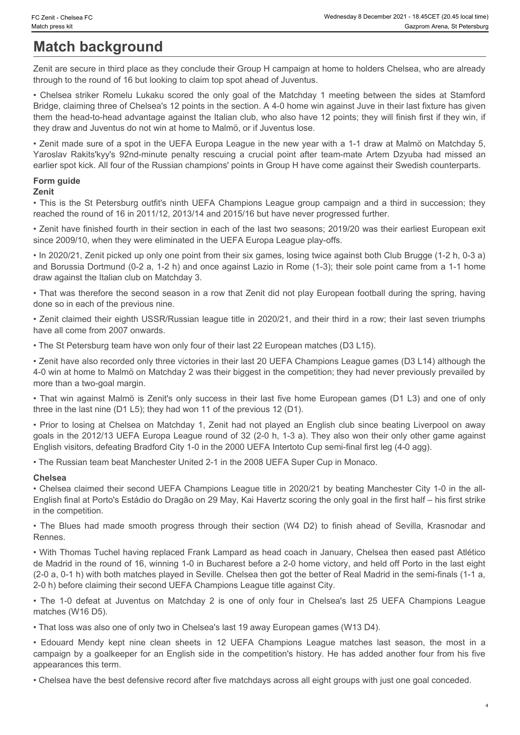## **Match background**

Zenit are secure in third place as they conclude their Group H campaign at home to holders Chelsea, who are already through to the round of 16 but looking to claim top spot ahead of Juventus.

• Czenit • Chelsea FC<br>
• Match press kit<br>
• Chelsea striker press kit<br>
• Chelsea striker Romelu Lukaku scored the only goal of the Matchday 1 meeting between the sides at Stamford<br>
Finding the only do the Fought Campaign a Bridge, claiming three of Chelsea's 12 points in the section. A 4-0 home win against Juve in their last fixture has given them the head-to-head advantage against the Italian club, who also have 12 points; they will finish first if they win, if they draw and Juventus do not win at home to Malmö, or if Juventus lose. Yaroslav Chales FC<br>
Wednesday & December 2021 - 18 45CET (20.45 local fields)<br>
Match background<br>
Zenit are secure in third place as they conclude their Group H campaign at home to holders Chelsea, who are already<br>
The team

• Zenit made sure of a spot in the UEFA Europa League in the new year with a 1-1 draw at Malmö on Matchday 5, earlier spot kick. All four of the Russian champions' points in Group H have come against their Swedish counterparts.

## **Form guide**

## **Zenit**

• This is the St Petersburg outfit's ninth UEFA Champions League group campaign and a third in succession; they reached the round of 16 in 2011/12, 2013/14 and 2015/16 but have never progressed further.

• Zenit have finished fourth in their section in each of the last two seasons; 2019/20 was their earliest European exit since 2009/10, when they were eliminated in the UEFA Europa League play-offs.

• In 2020/21, Zenit picked up only one point from their six games, losing twice against both Club Brugge (1-2 h, 0-3 a) and Borussia Dortmund (0-2 a, 1-2 h) and once against Lazio in Rome (1-3); their sole point came from a 1-1 home draw against the Italian club on Matchday 3.

• That was therefore the second season in a row that Zenit did not play European football during the spring, having done so in each of the previous nine.

• Zenit claimed their eighth USSR/Russian league title in 2020/21, and their third in a row; their last seven triumphs have all come from 2007 onwards.

• The St Petersburg team have won only four of their last 22 European matches (D3 L15).

• Zenit have also recorded only three victories in their last 20 UEFA Champions League games (D3 L14) although the 4-0 win at home to Malmö on Matchday 2 was their biggest in the competition; they had never previously prevailed by more than a two-goal margin.

• That win against Malmö is Zenit's only success in their last five home European games (D1 L3) and one of only three in the last nine (D1 L5); they had won 11 of the previous 12 (D1).

• Prior to losing at Chelsea on Matchday 1, Zenit had not played an English club since beating Liverpool on away goals in the 2012/13 UEFA Europa League round of 32 (2-0 h, 1-3 a). They also won their only other game against English visitors, defeating Bradford City 1-0 in the 2000 UEFA Intertoto Cup semi-final first leg (4-0 agg).

• The Russian team beat Manchester United 2-1 in the 2008 UEFA Super Cup in Monaco.

## **Chelsea**

• Chelsea claimed their second UEFA Champions League title in 2020/21 by beating Manchester City 1-0 in the all-English final at Porto's Estádio do Dragão on 29 May, Kai Havertz scoring the only goal in the first half – his first strike in the competition.

Rennes.

endge claiming three of Chiefseles it 2 points in the section. A 4-2 home win a painst Juve in their last four has given the their sections of which provides the their section in the intervention of the War and Juve interv • With Thomas Tuchel having replaced Frank Lampard as head coach in January, Chelsea then eased past Atlético de Madrid in the round of 16, winning 1-0 in Bucharest before a 2-0 home victory, and held off Porto in the last eight (2-0 a, 0-1 h) with both matches played in Seville. Chelsea then got the better of Real Madrid in the semi-finals (1-1 a, 2-0 h) before claiming their second UEFA Champions League title against City. Form guide is the St Petrosherg coffits minh UEFA Champions Loague group campaign and a third in succession; they<br>This is the St Petrosherg coffits in the section near of the lead two sessens. 2019 201 was their emiles it • Show the minimizer lead to the restrict in each of the held to expect not the minimizer of the minimizer control in the minimizary and held to the minimizary and held to the minimizary and the minimizary and the most in

matches (W16 D5).

• That loss was also one of only two in Chelsea's last 19 away European games (W13 D4).

campaign by a goalkeeper for an English side in the competition's history. He has added another four from his five appearances this term.

• Chelsea have the best defensive record after five matchdays across all eight groups with just one goal conceded.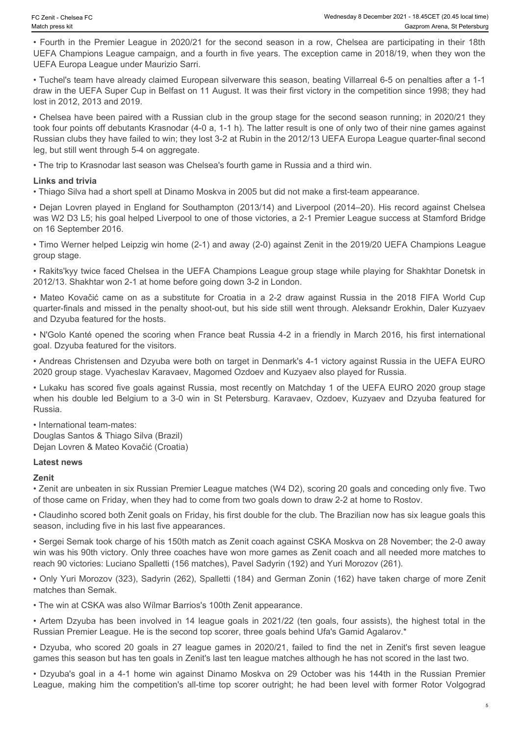• Fourth in the Premier League in 2020/21 for the second season in a row, Chelsea are participating in their 18th UEFA Champions League campaign, and a fourth in five years. The exception came in 2018/19, when they won the UEFA Europa League under Maurizio Sarri.

• Tuchel's team have already claimed European silverware this season, beating Villarreal 6-5 on penalties after a 1-1 draw in the UEFA Super Cup in Belfast on 11 August. It was their first victory in the competition since 1998; they had lost in 2012, 2013 and 2019.

• Chelsea have been paired with a Russian club in the group stage for the second season running; in 2020/21 they took four points off debutants Krasnodar (4-0 a, 1-1 h). The latter result is one of only two of their nine games against Russian clubs they have failed to win; they lost 3-2 at Rubin in the 2012/13 UEFA Europa League quarter-final second leg, but still went through 5-4 on aggregate. • Ceim Chetera Fitch (wave the Southern Internation Constrained the Society of the Covacine and a substitute for Croatic Cup Camera Association in a formula in a formula in a formula in the UEFA Champions League camerage a comit chemic is an another community of the second season in a cow. Chesses are participately in Statistical methods and a community of the second season in a cow. Chesses are participately in the computer of the second st

• The trip to Krasnodar last season was Chelsea's fourth game in Russia and a third win.

### **Links and trivia**

• Thiago Silva had a short spell at Dinamo Moskva in 2005 but did not make a first-team appearance.

• Dejan Lovren played in England for Southampton (2013/14) and Liverpool (2014–20). His record against Chelsea was W2 D3 L5; his goal helped Liverpool to one of those victories, a 2-1 Premier League success at Stamford Bridge on 16 September 2016.

• Timo Werner helped Leipzig win home (2-1) and away (2-0) against Zenit in the 2019/20 UEFA Champions League group stage.

• Rakits'kyy twice faced Chelsea in the UEFA Champions League group stage while playing for Shakhtar Donetsk in 2012/13. Shakhtar won 2-1 at home before going down 3-2 in London.

quarter-finals and missed in the penalty shoot-out, but his side still went through. Aleksandr Erokhin, Daler Kuzyaev and Dzyuba featured for the hosts.

• N'Golo Kanté opened the scoring when France beat Russia 4-2 in a friendly in March 2016, his first international goal. Dzyuba featured for the visitors.

• Andreas Christensen and Dzyuba were both on target in Denmark's 4-1 victory against Russia in the UEFA EURO 2020 group stage. Vyacheslav Karavaev, Magomed Ozdoev and Kuzyaev also played for Russia.

• Lukaku has scored five goals against Russia, most recently on Matchday 1 of the UEFA EURO 2020 group stage Russia.

• International team-mates: Douglas Santos & Thiago Silva (Brazil) Dejan Lovren & Mateo Kovačić (Croatia)

### **Latest news**

**Zenit**

• Zenit are unbeaten in six Russian Premier League matches (W4 D2), scoring 20 goals and conceding only five. Two of those came on Friday, when they had to come from two goals down to draw 2-2 at home to Rostov.

• Claudinho scored both Zenit goals on Friday, his first double for the club. The Brazilian now has six league goals this season, including five in his last five appearances.

• Sergei Semak took charge of his 150th match as Zenit coach against CSKA Moskva on 28 November; the 2-0 away win was his 90th victory. Only three coaches have won more games as Zenit coach and all needed more matches to reach 90 victories: Luciano Spalletti (156 matches), Pavel Sadyrin (192) and Yuri Morozov (261). • Registration of the control of the properties of the control of the control of the signification in the properties of the properties of the control of the control of the control of the control of the control of the contr on 18 September 2016. Who scored 10 goals in 27 league games in 2020/22, the net in 2020/20 utility control to the network of the network of the network of the network of the network of the network of the network of the ne γουμ attage, home for the matter of the technique of the substitute of the DEFA Champions Legan group stage while brighting for Shabitat Donesis in the 2012 - Shabitat Donesis in the 2012 - Matthewood. Data Moskva on 29 under the making to the competition of the CEFA Champions League group stage while playing for Shakhtar Donetsk in Nation Nation Nation Nation Nation Nation Nation Nation Nation Nation Nation Nation Nation Nation Nation Na

• Only Yuri Morozov (323), Sadyrin (262), Spalletti (184) and German Zonin (162) have taken charge of more Zenit matches than Semak.

• The win at CSKA was also Wílmar Barrios's 100th Zenit appearance.

Russian Premier League. He is the second top scorer, three goals behind Ufa's Gamid Agalarov.\*

games this season but has ten goals in Zenit's last ten league matches although he has not scored in the last two.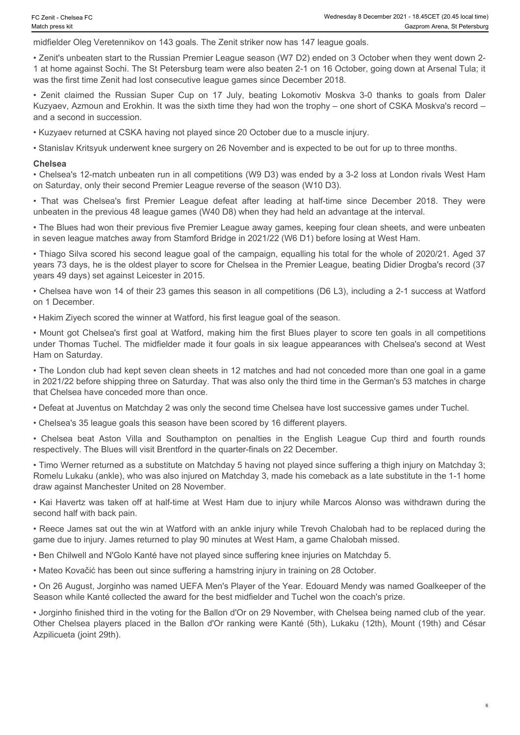midfielder Oleg Veretennikov on 143 goals. The Zenit striker now has 147 league goals.

• Zenit's unbeaten start to the Russian Premier League season (W7 D2) ended on 3 October when they went down 2- 1 at home against Sochi. The St Petersburg team were also beaten 2-1 on 16 October, going down at Arsenal Tula; it was the first time Zenit had lost consecutive league games since December 2018. • Zenit - Chelsea FC<br>
• Wednessay 8 December 2021 - 18.45CET (20.45 tocal time)<br>
• Gazprom Arena, St Petersburg<br>
• Canit's unbeaten start to the Russian Premier League season (W7 D2) ended on 3 October when they went down • Chelsea's first Premier League defeat after leading at half-time who solet Premier League Sales. The Pennis when the member of the Substitute Oleg Veretennikov on 143 goals. The Zenit striker now has 147 league goals.<br>
• • Chelses Towacake Towacake The Chelse Chelse Chelse Chelse Chelse Chelse Chelse Chelse Chelse Chelse Chelse Chelse Chelse Chelse Chelse Chelse Chelse Chelse Chelse Chelse Chelse Chelse Chelse Chelse Chelse Chelse Chelse C

Kuzyaev, Azmoun and Erokhin. It was the sixth time they had won the trophy – one short of CSKA Moskva's record – and a second in succession.

• Kuzyaev returned at CSKA having not played since 20 October due to a muscle injury.

• Stanislav Kritsyuk underwent knee surgery on 26 November and is expected to be out for up to three months.

#### **Chelsea**

• Chelsea's 12-match unbeaten run in all competitions (W9 D3) was ended by a 3-2 loss at London rivals West Ham on Saturday, only their second Premier League reverse of the season (W10 D3).

unbeaten in the previous 48 league games (W40 D8) when they had held an advantage at the interval.

• The Blues had won their previous five Premier League away games, keeping four clean sheets, and were unbeaten in seven league matches away from Stamford Bridge in 2021/22 (W6 D1) before losing at West Ham.

• Thiago Silva scored his second league goal of the campaign, equalling his total for the whole of 2020/21. Aged 37 years 73 days, he is the oldest player to score for Chelsea in the Premier League, beating Didier Drogba's record (37 years 49 days) set against Leicester in 2015.

• Chelsea have won 14 of their 23 games this season in all competitions (D6 L3), including a 2-1 success at Watford on 1 December.

• Hakim Ziyech scored the winner at Watford, his first league goal of the season.

• Mount got Chelsea's first goal at Watford, making him the first Blues player to score ten goals in all competitions under Thomas Tuchel. The midfielder made it four goals in six league appearances with Chelsea's second at West Ham on Saturday.

• The London club had kept seven clean sheets in 12 matches and had not conceded more than one goal in a game in 2021/22 before shipping three on Saturday. That was also only the third time in the German's 53 matches in charge that Chelsea have conceded more than once.

• Defeat at Juventus on Matchday 2 was only the second time Chelsea have lost successive games under Tuchel.

• Chelsea's 35 league goals this season have been scored by 16 different players.

respectively. The Blues will visit Brentford in the quarter-finals on 22 December.

• Timo Werner returned as a substitute on Matchday 5 having not played since suffering a thigh injury on Matchday 3; Romelu Lukaku (ankle), who was also injured on Matchday 3, made his comeback as a late substitute in the 1-1 home draw against Manchester United on 28 November.

• Kai Havertz was taken off at half-time at West Ham due to injury while Marcos Alonso was withdrawn during the second half with back pain.

• Reece James sat out the win at Watford with an ankle injury while Trevoh Chalobah had to be replaced during the game due to injury. James returned to play 90 minutes at West Ham, a game Chalobah missed.

• Ben Chilwell and N'Golo Kanté have not played since suffering knee injuries on Matchday 5.

• Mateo Kovačić has been out since suffering a hamstring injury in training on 28 October.

• On 26 August, Jorginho was named UEFA Men's Player of the Year. Edouard Mendy was named Goalkeeper of the Season while Kanté collected the award for the best midfielder and Tuchel won the coach's prize.

• Jorginho finished third in the voting for the Ballon d'Or on 29 November, with Chelsea being named club of the year. Other Chelsea players placed in the Ballon d'Or ranking were Kanté (5th), Lukaku (12th), Mount (19th) and César Azpilicueta (joint 29th).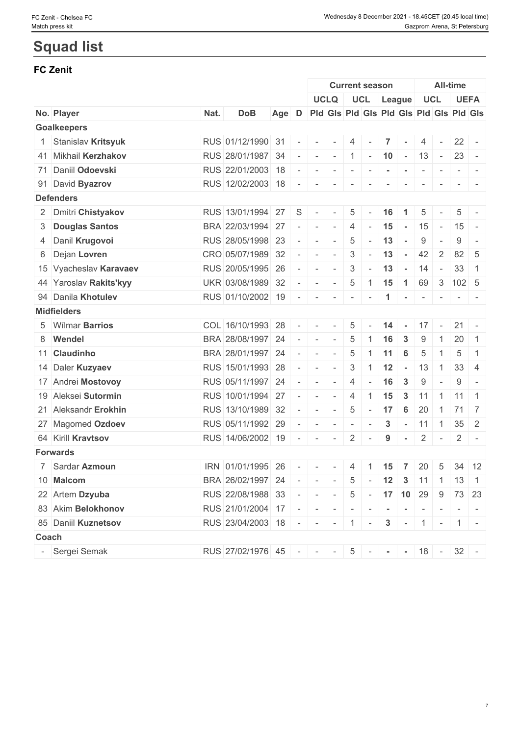## **Squad list**

## **FC Zenit**

|                          |                        |      |                                               |                                               |                          |                           |                                                                                                | <b>Current season</b> |                          |                           |                 |                |                          | All-time        |                                                                                                              |
|--------------------------|------------------------|------|-----------------------------------------------|-----------------------------------------------|--------------------------|---------------------------|------------------------------------------------------------------------------------------------|-----------------------|--------------------------|---------------------------|-----------------|----------------|--------------------------|-----------------|--------------------------------------------------------------------------------------------------------------|
|                          |                        |      |                                               |                                               |                          |                           | <b>UCLQ</b>                                                                                    |                       |                          | UCL League                |                 |                | UCL                      | <b>UEFA</b>     |                                                                                                              |
|                          | No. Player             | Nat. | <b>DoB</b>                                    | Age D Pid Gis Pid Gis Pid Gis Pid Gis Pid Gis |                          |                           |                                                                                                |                       |                          |                           |                 |                |                          |                 |                                                                                                              |
|                          | <b>Goalkeepers</b>     |      |                                               |                                               |                          |                           |                                                                                                |                       |                          |                           |                 |                |                          |                 |                                                                                                              |
|                          | 1 Stanislav Kritsyuk   |      | RUS 01/12/1990 31 -                           |                                               |                          |                           |                                                                                                | 4                     | $\sim$                   | $\overline{7}$            |                 | 4              |                          | $22 -$          |                                                                                                              |
|                          | 41 Mikhail Kerzhakov   |      | RUS 28/01/1987 34                             |                                               | $\overline{\phantom{a}}$ |                           | $  1$ $ 10$ $ 13$                                                                              |                       |                          |                           |                 |                | $\sim$ $ \sim$           | $23 -$          |                                                                                                              |
|                          | 71 Daniil Odoevski     |      | RUS 22/01/2003 18                             |                                               | $\sim$                   | $\sim$                    | $\sim$                                                                                         | $\sim$                | $\overline{\phantom{a}}$ |                           |                 |                | $\sim$                   |                 |                                                                                                              |
|                          | 91 David Byazrov       |      | RUS 12/02/2003 18                             |                                               | $\sim$                   |                           |                                                                                                | $\mathbf{1}$          | $\sim$                   | $\sim$                    | $\sim$          | $\sim$         | $\sim$                   |                 | $\frac{1}{2} \left( \frac{1}{2} \right) \left( \frac{1}{2} \right) = \frac{1}{2} \left( \frac{1}{2} \right)$ |
|                          | <b>Defenders</b>       |      |                                               |                                               |                          |                           |                                                                                                |                       |                          |                           |                 |                |                          |                 |                                                                                                              |
|                          | 2 Dmitri Chistyakov    |      | RUS 13/01/1994 27                             |                                               | S                        |                           |                                                                                                | 5                     |                          | 16                        |                 | 5              |                          | 5               |                                                                                                              |
|                          | 3 Douglas Santos       |      | BRA 22/03/1994 27                             |                                               | $\overline{\phantom{a}}$ | $\sim$                    | $\sim$                                                                                         | 4                     | $\sim$                   | 15                        | $\sim$          | 15             | $\sim$                   | 15              | $\overline{a}$                                                                                               |
|                          | 4 Danil Krugovoi       |      | RUS 28/05/1998 23                             |                                               | $\sim$                   | $\sim$                    | $\sim$                                                                                         | 5                     | $\sim$                   | 13                        | $\sim$          | 9              | $\overline{\phantom{a}}$ | 9               | $\overline{\phantom{a}}$                                                                                     |
|                          | 6 Dejan Lovren         |      | CRO 05/07/1989 32                             |                                               |                          | $\sim$                    | $\sim$                                                                                         | 3                     | $\sim$                   | 13                        | $\sim$          | 42             | $\overline{2}$           | 82              | -5                                                                                                           |
|                          | 15 Vyacheslav Karavaev |      | RUS 20/05/1995 26                             |                                               | $\sim$                   | $\sim$                    | $\sim$                                                                                         | 3                     | $\sim$                   | 13                        | $\sim$          | 14             | $\sim$                   | 33              | $\mathbf{1}$                                                                                                 |
|                          | 44 Yaroslav Rakits'kyy |      | UKR 03/08/1989 32                             |                                               | $\sim$                   | $\sim$                    | $\sim$                                                                                         | 5                     |                          |                           |                 |                |                          | 69 3 102 5      |                                                                                                              |
|                          | 94 Danila Khotulev     |      | RUS 01/10/2002 19                             |                                               | $\overline{\phantom{a}}$ | $\sim$                    | $\sim$                                                                                         | $\sim$                | $\sim$                   | $\mathbf{1}$              | $\sim$          | $\sim$         | $\sim$                   |                 |                                                                                                              |
|                          | <b>Midfielders</b>     |      |                                               |                                               |                          |                           |                                                                                                |                       |                          |                           |                 |                |                          |                 |                                                                                                              |
|                          | 5 Wilmar Barrios       |      | COL 16/10/1993 28                             |                                               | $\sim$                   | $\sim$                    | $\sim$                                                                                         | 5                     | $\sim$                   | $14 -$                    |                 |                |                          | $17 - 21 -$     |                                                                                                              |
|                          | 8 Wendel               |      | BRA 28/08/1997 24                             |                                               | $\overline{\phantom{a}}$ | $\sim$                    | $\sim$                                                                                         | 5                     |                          | 16                        | 3               | 9              | $\mathbf{1}$             | 20              | $\overline{1}$                                                                                               |
|                          | 11 Claudinho           |      | BRA 28/01/1997 24                             |                                               | $\overline{\phantom{a}}$ | $\sim$                    | $\sim$                                                                                         | 5                     | $\overline{1}$           | 11                        | 6               | 5              |                          | 5               | -1                                                                                                           |
|                          | 14 Daler Kuzyaev       |      | RUS 15/01/1993 28                             |                                               | $\overline{\phantom{a}}$ | $\sim$                    | $\sim$                                                                                         | 3                     | $\overline{1}$           | 12                        | $\sim$          | 13             | $\overline{1}$           | 33 <sup>1</sup> | $\overline{4}$                                                                                               |
|                          | 17 Andrei Mostovoy     |      | RUS 05/11/1997 24                             |                                               | $\bar{a}$                | $\sim$                    | $\sim$                                                                                         | 4                     | $\sim$                   | 16                        | $\mathbf{3}$    | 9              | $\overline{\phantom{a}}$ | 9               | $\sim$                                                                                                       |
|                          | 19 Aleksei Sutormin    |      | RUS 10/01/1994 27                             |                                               | $\sim$                   | $\sim$                    | $\sim$                                                                                         | $\overline{4}$        | $\overline{1}$           | 15                        | $\mathbf{3}$    | 11             | $\overline{1}$           | $11 \mid 1$     |                                                                                                              |
|                          | 21 Aleksandr Erokhin   |      | RUS 13/10/1989 32                             |                                               | $\sim$                   | $\sim$                    | $\sim$                                                                                         | 5                     | $\sim$                   | 17                        | $6\phantom{1}6$ | 20             | $\overline{1}$           | 71 7            |                                                                                                              |
|                          | 27 Magomed Ozdoev      |      | RUS 05/11/1992 29                             |                                               |                          |                           | $\frac{1}{2} \left( \frac{1}{2} \right) \left( \frac{1}{2} \right) = \frac{1}{2}$              | $\mathbf{r}$          | $\sim$                   | $\mathbf{3}$              | $\sim$          | 11             | $\vert$ 1                | $35 \quad 2$    |                                                                                                              |
|                          | 64 Kirill Kravtsov     |      | RUS 14/06/2002 19                             |                                               | $\sim$                   | $\sim$                    | $\sim$                                                                                         | $\overline{2}$        | $\sim$                   | 9                         | $\blacksquare$  | $\overline{2}$ | $\sim$                   | $\mathbf{2}$    | $\sim$                                                                                                       |
|                          | <b>Forwards</b>        |      |                                               |                                               |                          |                           |                                                                                                |                       |                          |                           |                 |                |                          |                 |                                                                                                              |
|                          | 7 Sardar Azmoun        |      | IRN 01/01/1995 26                             |                                               |                          | the project of the second |                                                                                                |                       |                          | $4 \mid 1 \mid 15 \mid 7$ |                 | $20 \mid 5$    |                          |                 | $34$ 12                                                                                                      |
|                          | 10 Malcom              |      | BRA 26/02/1997 24                             |                                               |                          |                           | $    5$ $ 12$ 3 11 1 13 1                                                                      |                       |                          |                           |                 |                |                          |                 |                                                                                                              |
|                          | 22 Artem Dzyuba        |      | RUS 22/08/1988 33                             |                                               |                          |                           | $\vert - \vert - \vert - \vert 5 \vert - \vert 17 \vert 10 \vert 29 \vert 9 \vert 73 \vert 23$ |                       |                          |                           |                 |                |                          |                 |                                                                                                              |
|                          | 83 Akim Belokhonov     |      | RUS 21/01/2004 17 - - - - - - - - -           |                                               |                          |                           |                                                                                                |                       |                          |                           |                 | $\sim$         | $\sim$                   |                 |                                                                                                              |
|                          | 85 Daniil Kuznetsov    |      | RUS 23/04/2003 18 - - - - 1 - 3 - 1 - 1 - 1 - |                                               |                          |                           |                                                                                                |                       |                          |                           |                 |                |                          |                 |                                                                                                              |
|                          |                        |      |                                               |                                               |                          |                           |                                                                                                |                       |                          |                           |                 |                |                          |                 |                                                                                                              |
|                          | Coach                  |      |                                               |                                               |                          |                           |                                                                                                |                       |                          |                           |                 |                |                          |                 |                                                                                                              |
| $\overline{\phantom{a}}$ | Sergei Semak           |      | RUS 27/02/1976 45 - - - 5 - - - 18 - 32 -     |                                               |                          |                           |                                                                                                |                       |                          |                           |                 |                |                          |                 |                                                                                                              |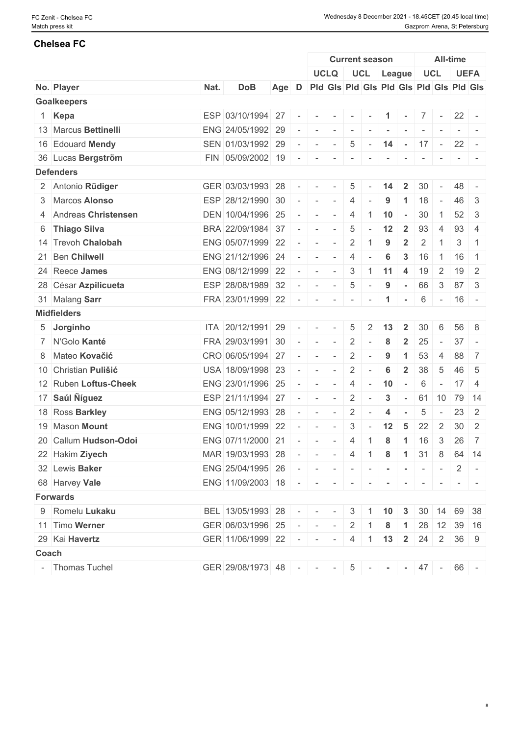|                       |      |                                             |                                                       |                          |                                                                                                                                                                                                                                                                                                                                                                                                                                                                                               |                          | <b>Current season</b>    |                          |                                         |                                        |                 |                          | <b>All-time</b>              |                                                                                                                           |
|-----------------------|------|---------------------------------------------|-------------------------------------------------------|--------------------------|-----------------------------------------------------------------------------------------------------------------------------------------------------------------------------------------------------------------------------------------------------------------------------------------------------------------------------------------------------------------------------------------------------------------------------------------------------------------------------------------------|--------------------------|--------------------------|--------------------------|-----------------------------------------|----------------------------------------|-----------------|--------------------------|------------------------------|---------------------------------------------------------------------------------------------------------------------------|
|                       |      |                                             |                                                       |                          |                                                                                                                                                                                                                                                                                                                                                                                                                                                                                               | <b>UCLQ</b>              |                          |                          | UCL League                              |                                        |                 | <b>UCL</b>               |                              | <b>UEFA</b>                                                                                                               |
| No. Player            | Nat. | <b>DoB</b>                                  | Age D Pld Gls Pld Gls Pld Gls Pld Gls Pld Gls Pld Gls |                          |                                                                                                                                                                                                                                                                                                                                                                                                                                                                                               |                          |                          |                          |                                         |                                        |                 |                          |                              |                                                                                                                           |
| <b>Goalkeepers</b>    |      |                                             |                                                       |                          |                                                                                                                                                                                                                                                                                                                                                                                                                                                                                               |                          |                          |                          |                                         |                                        |                 |                          |                              |                                                                                                                           |
| 1 Kepa                |      | ESP 03/10/1994 27                           |                                                       | $\overline{\phantom{a}}$ | $\sim$                                                                                                                                                                                                                                                                                                                                                                                                                                                                                        | $\sim$                   | $\sim$                   | $\sim$                   | $\mathbf{1}$                            | $\sim$                                 |                 | $7$ -                    | $22 -$                       |                                                                                                                           |
| 13 Marcus Bettinelli  |      | ENG 24/05/1992 29                           |                                                       |                          | $\sim$                                                                                                                                                                                                                                                                                                                                                                                                                                                                                        | $\sim$                   | $\sim$                   | $\sim$                   |                                         | $\sim$                                 | $\sim$          |                          |                              |                                                                                                                           |
| 16 Edouard Mendy      |      | SEN 01/03/1992 29                           |                                                       |                          | $\sim$                                                                                                                                                                                                                                                                                                                                                                                                                                                                                        | $\sim$                   | $\overline{5}$           | $\sim$                   | 14                                      | $\mathcal{C}=\mathcal{C}(\mathcal{A})$ |                 | $17 -$                   | $22 -$                       |                                                                                                                           |
| 36 Lucas Bergström    |      | FIN 05/09/2002 19                           |                                                       |                          | $\overline{\phantom{a}}$                                                                                                                                                                                                                                                                                                                                                                                                                                                                      | $\overline{\phantom{a}}$ | $\overline{\phantom{a}}$ |                          |                                         |                                        |                 |                          |                              |                                                                                                                           |
| <b>Defenders</b>      |      |                                             |                                                       |                          |                                                                                                                                                                                                                                                                                                                                                                                                                                                                                               |                          |                          |                          |                                         |                                        |                 |                          |                              |                                                                                                                           |
| 2 Antonio Rüdiger     |      | GER 03/03/1993 28                           |                                                       | $\sim$                   | $\sim$                                                                                                                                                                                                                                                                                                                                                                                                                                                                                        | $\sim$                   | $5\overline{)}$          |                          | 14                                      | $\overline{2}$                         | 30              |                          | 48                           |                                                                                                                           |
| 3 Marcos Alonso       |      | ESP 28/12/1990 30                           |                                                       |                          | $\sim$                                                                                                                                                                                                                                                                                                                                                                                                                                                                                        | $\sim$                   | $\overline{4}$           |                          | 9                                       |                                        | 18              |                          | 46                           | -3                                                                                                                        |
| 4 Andreas Christensen |      | DEN 10/04/1996 25                           |                                                       |                          | $\sim$                                                                                                                                                                                                                                                                                                                                                                                                                                                                                        | $\sim$                   | 4                        | 1                        | 10                                      | $\sim$                                 | 30              | $\overline{1}$           | 52                           | -3                                                                                                                        |
| 6 Thiago Silva        |      | BRA 22/09/1984 37                           |                                                       |                          | $\sim$                                                                                                                                                                                                                                                                                                                                                                                                                                                                                        | $\sim$                   | $\overline{5}$           |                          | 12                                      | $\overline{2}$                         | 93              | 4                        | 93                           | $\overline{4}$                                                                                                            |
| 14 Trevoh Chalobah    |      | ENG 05/07/1999 22                           |                                                       | $\equiv$                 | $\sim$                                                                                                                                                                                                                                                                                                                                                                                                                                                                                        | $\sim$                   | $\overline{2}$           | 1                        | 9                                       | $\overline{2}$                         | $\overline{2}$  | -1                       | 3                            | $\overline{1}$                                                                                                            |
| 21 Ben Chilwell       |      | ENG 21/12/1996 24                           |                                                       | $\sim$                   | $\sim$                                                                                                                                                                                                                                                                                                                                                                                                                                                                                        | $\sim$                   | $\overline{4}$           |                          | 6                                       | 3                                      | 16              | $\overline{1}$           | 16                           | $\overline{1}$                                                                                                            |
| 24 Reece James        |      | ENG 08/12/1999 22                           |                                                       |                          | $\sim$                                                                                                                                                                                                                                                                                                                                                                                                                                                                                        | $\sim$                   | $\mathcal{S}$            | $\vert$ 1                | 11                                      | -4                                     | 19              | $\overline{2}$           | $19$ 2                       |                                                                                                                           |
| 28 César Azpilicueta  |      | ESP 28/08/1989 32                           |                                                       |                          | $\sim$                                                                                                                                                                                                                                                                                                                                                                                                                                                                                        | $\sim$                   | $\overline{5}$           | $\sim$                   | 9                                       | $\sim$                                 | 66              | $\mathbf{3}$             | 87                           | -3                                                                                                                        |
| 31 Malang Sarr        |      | FRA 23/01/1999 22                           |                                                       | $\sim$                   | $-1$                                                                                                                                                                                                                                                                                                                                                                                                                                                                                          | $\sim$                   | $\sim$                   | $\sim$                   | $\blacktriangleleft$                    | $\sim$                                 | 6               | $\sim$ $-$               | $16 -$                       |                                                                                                                           |
| <b>Midfielders</b>    |      |                                             |                                                       |                          |                                                                                                                                                                                                                                                                                                                                                                                                                                                                                               |                          |                          |                          |                                         |                                        |                 |                          |                              |                                                                                                                           |
| 5 Jorginho            |      | ITA 20/12/1991 29                           |                                                       | $\equiv$                 | $\sim$                                                                                                                                                                                                                                                                                                                                                                                                                                                                                        | $\sim$                   | $5\overline{)}$          | $\overline{2}$           | 13                                      | $\overline{2}$                         | 30              | 6                        |                              | 56 8                                                                                                                      |
| 7 N'Golo Kanté        |      | FRA 29/03/1991 30                           |                                                       | $\sim$                   | $\sim$                                                                                                                                                                                                                                                                                                                                                                                                                                                                                        | $\sim$                   | 2                        | $\overline{\phantom{a}}$ | 8                                       | $\overline{2}$                         | 25              | $\sim$                   | 37                           |                                                                                                                           |
| 8 Mateo Kovačić       |      | CRO 06/05/1994 27                           |                                                       | $\sim$                   | $\sim$                                                                                                                                                                                                                                                                                                                                                                                                                                                                                        | $\sim$                   | $\overline{2}$           | $\sim$                   | 9                                       | $\blacktriangleleft$                   | 53              | $\overline{4}$           | 88                           | 7                                                                                                                         |
| 10 Christian Pulišić  |      | USA 18/09/1998 23                           |                                                       |                          | $\sim$                                                                                                                                                                                                                                                                                                                                                                                                                                                                                        | $\sim$                   | $\overline{2}$           | $\sim$                   | $6\phantom{1}6$                         | $\overline{2}$                         | 38              | $-5$                     | 46 5                         |                                                                                                                           |
| 12 Ruben Loftus-Cheek |      | ENG 23/01/1996 25                           |                                                       |                          | $\sim$                                                                                                                                                                                                                                                                                                                                                                                                                                                                                        | $\sim$                   | 4                        | $\sim$                   | 10                                      | $\sim$                                 | 6               | $\overline{\phantom{a}}$ | 17                           | $\overline{4}$                                                                                                            |
| 17 Saúl Níguez        |      | ESP 21/11/1994 27                           |                                                       |                          | $\sim$                                                                                                                                                                                                                                                                                                                                                                                                                                                                                        | $\sim$                   | $\overline{2}$           | $\sim$                   | 3                                       | $\sim$                                 | 61              | 10                       | 79 14                        |                                                                                                                           |
| 18 Ross Barkley       |      | ENG 05/12/1993 28                           |                                                       |                          | $\sim$                                                                                                                                                                                                                                                                                                                                                                                                                                                                                        | $\sim$                   | $\overline{2}$           | $\sim$                   | 4                                       | $\sim$                                 | $5\phantom{.0}$ | $\sim$ $-$               | 23                           | 2                                                                                                                         |
| 19 Mason Mount        |      | ENG 10/01/1999 22                           |                                                       |                          | $\sim$                                                                                                                                                                                                                                                                                                                                                                                                                                                                                        | $\sim$                   | 3                        | $\sim$                   | 12                                      | 5                                      | 22              | $\overline{2}$           | 30 <sup>1</sup>              | $\overline{2}$                                                                                                            |
| 20 Callum Hudson-Odoi |      | ENG 07/11/2000 21                           |                                                       | $\sim$                   | $\sim$                                                                                                                                                                                                                                                                                                                                                                                                                                                                                        | $\sim$                   | $\overline{4}$           | $\overline{1}$           | 8                                       | $\overline{1}$                         | 16              | 3                        | 26                           | $\overline{7}$                                                                                                            |
| 22 Hakim Ziyech       |      | MAR 19/03/1993 28                           |                                                       |                          | $\mathcal{A}=\{ \mathcal{A}, \mathcal{A}, \mathcal{A}, \mathcal{A}, \mathcal{A}, \mathcal{A}, \mathcal{A}, \mathcal{A}, \mathcal{A}, \mathcal{A}, \mathcal{A}, \mathcal{A}, \mathcal{A}, \mathcal{A}, \mathcal{A}, \mathcal{A}, \mathcal{A}, \mathcal{A}, \mathcal{A}, \mathcal{A}, \mathcal{A}, \mathcal{A}, \mathcal{A}, \mathcal{A}, \mathcal{A}, \mathcal{A}, \mathcal{A}, \mathcal{A}, \mathcal{A}, \mathcal{A}, \mathcal{A}, \mathcal{A}, \mathcal{A}, \mathcal{A}, \mathcal{A}, \math$ |                          |                          |                          | $4 \mid 1 \mid 8 \mid 1 \mid 31 \mid 8$ |                                        |                 |                          |                              | 64 14                                                                                                                     |
| 32 Lewis Baker        |      | ENG 25/04/1995 26                           |                                                       |                          |                                                                                                                                                                                                                                                                                                                                                                                                                                                                                               |                          |                          |                          |                                         |                                        |                 |                          |                              |                                                                                                                           |
| 68 Harvey Vale        |      | ENG 11/09/2003 18 - - - - - - -             |                                                       |                          |                                                                                                                                                                                                                                                                                                                                                                                                                                                                                               |                          |                          |                          |                                         |                                        |                 |                          |                              |                                                                                                                           |
| <b>Forwards</b>       |      |                                             |                                                       |                          |                                                                                                                                                                                                                                                                                                                                                                                                                                                                                               |                          |                          |                          |                                         | $\sim$ $-$                             |                 | $-1$                     |                              | $\frac{1}{2} \left( \frac{1}{2} \right) \left( \frac{1}{2} \right) \left( \frac{1}{2} \right) \left( \frac{1}{2} \right)$ |
| 9 Romelu Lukaku       |      | BEL 13/05/1993 28                           |                                                       |                          | $   3$ 1 10 3                                                                                                                                                                                                                                                                                                                                                                                                                                                                                 |                          |                          |                          |                                         |                                        |                 |                          | $30 \mid 14 \mid 69 \mid 38$ |                                                                                                                           |
| 11 Timo Werner        |      | GER 06/03/1996 25                           |                                                       |                          |                                                                                                                                                                                                                                                                                                                                                                                                                                                                                               |                          |                          |                          |                                         |                                        |                 |                          | 28 12 39 16                  |                                                                                                                           |
| 29 Kai Havertz        |      |                                             |                                                       |                          | $   2 \mid 1$<br>$   -$                                                                                                                                                                                                                                                                                                                                                                                                                                                                       |                          |                          |                          | 8                                       |                                        |                 |                          |                              |                                                                                                                           |
|                       |      | GER 11/06/1999 22                           |                                                       |                          |                                                                                                                                                                                                                                                                                                                                                                                                                                                                                               |                          |                          |                          | $4 \mid 1 \mid 13 \mid 2$               |                                        |                 | $24 \quad 2$             | $36 \mid 9$                  |                                                                                                                           |
| Coach                 |      |                                             |                                                       |                          |                                                                                                                                                                                                                                                                                                                                                                                                                                                                                               |                          |                          |                          |                                         |                                        |                 |                          |                              |                                                                                                                           |
| - Thomas Tuchel       |      | GER 29/08/1973 48 - - - - 5 - - - 47 - 66 - |                                                       |                          |                                                                                                                                                                                                                                                                                                                                                                                                                                                                                               |                          |                          |                          |                                         |                                        |                 |                          |                              |                                                                                                                           |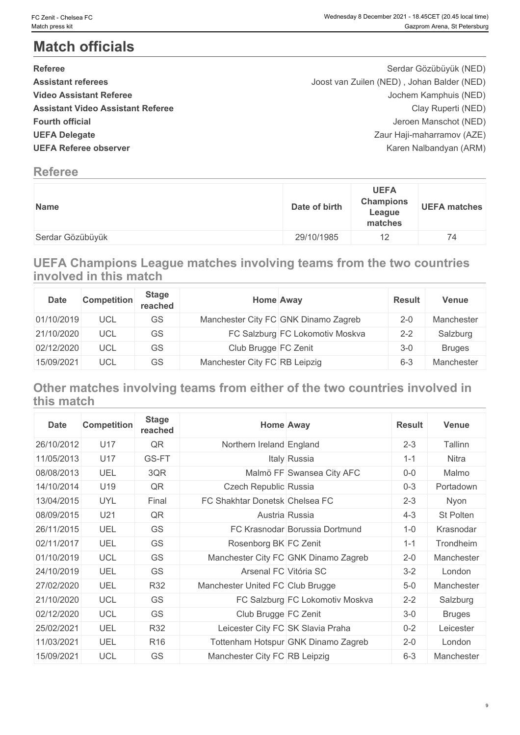## **Match officials**

| <b>Referee</b>                           | Serdar Gözübüyük (NED)                     |  |
|------------------------------------------|--------------------------------------------|--|
| <b>Assistant referees</b>                | Joost van Zuilen (NED), Johan Balder (NED) |  |
| <b>Video Assistant Referee</b>           | Jochem Kamphuis (NED)                      |  |
| <b>Assistant Video Assistant Referee</b> | Clay Ruperti (NED)                         |  |
| <b>Fourth official</b>                   | Jeroen Manschot (NED)                      |  |
| <b>UEFA Delegate</b>                     | Zaur Haji-maharramov (AZE)                 |  |
| <b>UEFA Referee observer</b>             | Karen Nalbandyan (ARM)                     |  |
|                                          |                                            |  |

## **Referee**

| Name             | <b>UEFA</b><br><b>Champions</b><br>Date of birth<br>League<br>matches | <b>UEFA matches</b> |
|------------------|-----------------------------------------------------------------------|---------------------|
| Serdar Gözübüyük | 29/10/1985<br>$-$                                                     | (4)                 |

## **UEFA Champions League matches involving teams from the two countries involved in this match**

| <b>Date</b> | <b>Competition</b> | <b>Stage</b><br>reached |                               | <b>Home Away</b>                     | <b>Result</b> | <b>Venue</b>  |
|-------------|--------------------|-------------------------|-------------------------------|--------------------------------------|---------------|---------------|
| 01/10/2019  | UCL                | GS                      |                               | Manchester City FC GNK Dinamo Zagreb | $2 - 0$       | Manchester    |
| 21/10/2020  | UCL                | GS                      |                               | FC Salzburg FC Lokomotiv Moskva      | $2 - 2$       | Salzburg      |
| 02/12/2020  | UCL                | GS                      | Club Brugge FC Zenit          |                                      | $3-0$         | <b>Bruges</b> |
| 15/09/2021  | UCL                | GS                      | Manchester City FC RB Leipzig |                                      | $6 - 3$       | Manchester    |

## **Other matches involving teams from either of the two countries involved in this match**

| <b>Date</b> | <b>Competition</b> | <b>Stage</b><br>reached |                                  | <b>Home Away</b>                     | <b>Result</b> | <b>Venue</b>  |
|-------------|--------------------|-------------------------|----------------------------------|--------------------------------------|---------------|---------------|
| 26/10/2012  | U17                | QR                      | Northern Ireland England         |                                      | $2 - 3$       | Tallinn       |
| 11/05/2013  | U17                | GS-FT                   |                                  | Italy Russia                         | $1 - 1$       | Nitra         |
| 08/08/2013  | UEL                | 3QR                     |                                  | Malmö FF Swansea City AFC            | $0-0$         | Malmo         |
| 14/10/2014  | U19                | QR                      | Czech Republic Russia            |                                      | $0 - 3$       | Portadown     |
| 13/04/2015  | <b>UYL</b>         | Final                   | FC Shakhtar Donetsk Chelsea FC   |                                      | $2 - 3$       | Nyon          |
| 08/09/2015  | U <sub>21</sub>    | QR                      |                                  | Austria Russia                       | $4 - 3$       | St Polten     |
| 26/11/2015  | UEL                | <b>GS</b>               |                                  | FC Krasnodar Borussia Dortmund       | $1 - 0$       | Krasnodar     |
| 02/11/2017  | UEL                | <b>GS</b>               | Rosenborg BK FC Zenit            |                                      | $1 - 1$       | Trondheim     |
| 01/10/2019  | <b>UCL</b>         | <b>GS</b>               |                                  | Manchester City FC GNK Dinamo Zagreb | $2 - 0$       | Manchester    |
| 24/10/2019  | UEL                | <b>GS</b>               | Arsenal FC Vitória SC            |                                      | $3 - 2$       | London        |
| 27/02/2020  | UEL                | R32                     | Manchester United FC Club Brugge |                                      | $5-0$         | Manchester    |
| 21/10/2020  | <b>UCL</b>         | GS                      |                                  | FC Salzburg FC Lokomotiv Moskva      | $2 - 2$       | Salzburg      |
| 02/12/2020  | <b>UCL</b>         | <b>GS</b>               | Club Brugge FC Zenit             |                                      | $3-0$         | <b>Bruges</b> |
| 25/02/2021  | UEL                | R32                     |                                  | Leicester City FC SK Slavia Praha    | $0 - 2$       | Leicester     |
| 11/03/2021  | UEL                | R <sub>16</sub>         |                                  | Tottenham Hotspur GNK Dinamo Zagreb  | $2 - 0$       | London        |
| 15/09/2021  | <b>UCL</b>         | <b>GS</b>               | Manchester City FC RB Leipzig    |                                      | $6 - 3$       | Manchester    |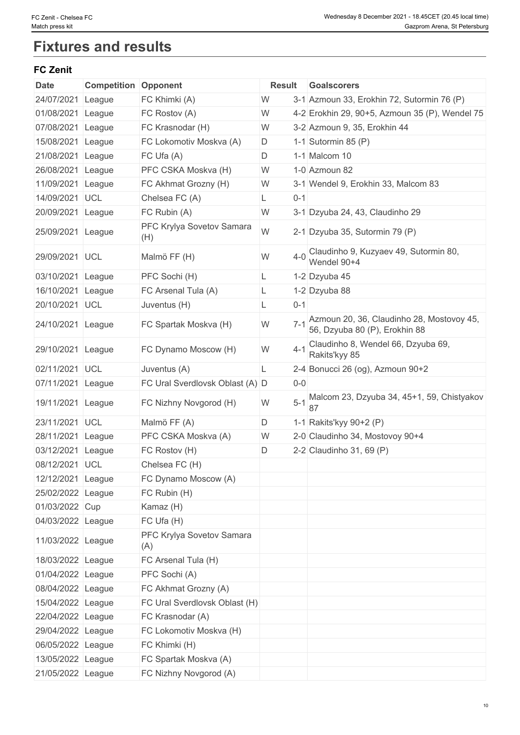## **Fixtures and results**

## **FC Zenit**

| <b>Date</b>       | <b>Competition</b> | Opponent                         | <b>Result</b> |         | Goalscorers                                                                |
|-------------------|--------------------|----------------------------------|---------------|---------|----------------------------------------------------------------------------|
| 24/07/2021        | League             | FC Khimki (A)                    | W             |         | 3-1 Azmoun 33, Erokhin 72, Sutormin 76 (P)                                 |
| 01/08/2021        | League             | FC Rostov (A)                    | W             |         | 4-2 Erokhin 29, 90+5, Azmoun 35 (P), Wendel 75                             |
| 07/08/2021        | League             | FC Krasnodar (H)                 | W             |         | 3-2 Azmoun 9, 35, Erokhin 44                                               |
| 15/08/2021        | League             | FC Lokomotiv Moskva (A)          | D             |         | 1-1 Sutormin 85 $(P)$                                                      |
| 21/08/2021        | League             | FC Ufa (A)                       | D             |         | 1-1 Malcom 10                                                              |
| 26/08/2021        | League             | PFC CSKA Moskva (H)              | W             |         | 1-0 Azmoun 82                                                              |
| 11/09/2021        | League             | FC Akhmat Grozny (H)             | W             |         | 3-1 Wendel 9, Erokhin 33, Malcom 83                                        |
| 14/09/2021        | <b>UCL</b>         | Chelsea FC (A)                   | L.            | $0 - 1$ |                                                                            |
| 20/09/2021        | League             | FC Rubin (A)                     | W             |         | 3-1 Dzyuba 24, 43, Claudinho 29                                            |
| 25/09/2021        | League             | PFC Krylya Sovetov Samara<br>(H) | W             |         | 2-1 Dzyuba 35, Sutormin 79 (P)                                             |
| 29/09/2021        | <b>UCL</b>         | Malmö FF (H)                     | W             | $4 - 0$ | Claudinho 9, Kuzyaev 49, Sutormin 80,<br>Wendel 90+4                       |
| 03/10/2021        | League             | PFC Sochi (H)                    | L.            |         | 1-2 Dzyuba 45                                                              |
| 16/10/2021        | League             | FC Arsenal Tula (A)              | L.            |         | 1-2 Dzyuba 88                                                              |
| 20/10/2021        | UCL                | Juventus (H)                     | L             | $0 - 1$ |                                                                            |
| 24/10/2021        | League             | FC Spartak Moskva (H)            | W             | $7 - 1$ | Azmoun 20, 36, Claudinho 28, Mostovoy 45,<br>56, Dzyuba 80 (P), Erokhin 88 |
| 29/10/2021        | League             | FC Dynamo Moscow (H)             | W             | $4 - 1$ | Claudinho 8, Wendel 66, Dzyuba 69,<br>Rakits'kyy 85                        |
| 02/11/2021        | UCL                | Juventus (A)                     | L.            |         | 2-4 Bonucci 26 (og), Azmoun 90+2                                           |
| 07/11/2021        | League             | FC Ural Sverdlovsk Oblast (A) D  |               | $0-0$   |                                                                            |
| 19/11/2021        | League             | FC Nizhny Novgorod (H)           | W             | $5-1$   | Malcom 23, Dzyuba 34, 45+1, 59, Chistyakov                                 |
| 23/11/2021        | <b>UCL</b>         | Malmö FF (A)                     | D             |         | 1-1 Rakits'kyy 90+2 (P)                                                    |
| 28/11/2021        | League             | PFC CSKA Moskva (A)              | W             |         | 2-0 Claudinho 34, Mostovoy 90+4                                            |
| 03/12/2021        | League             | FC Rostov (H)                    | D             |         | 2-2 Claudinho 31, 69 $(P)$                                                 |
| 08/12/2021        | UCL                | Chelsea FC (H)                   |               |         |                                                                            |
| 12/12/2021 League |                    | FC Dynamo Moscow (A)             |               |         |                                                                            |
| 25/02/2022 League |                    | FC Rubin (H)                     |               |         |                                                                            |
| 01/03/2022 Cup    |                    | Kamaz (H)                        |               |         |                                                                            |
| 04/03/2022 League |                    | FC Ufa (H)                       |               |         |                                                                            |
| 11/03/2022 League |                    | PFC Krylya Sovetov Samara<br>(A) |               |         |                                                                            |
| 18/03/2022 League |                    | FC Arsenal Tula (H)              |               |         |                                                                            |
| 01/04/2022 League |                    | PFC Sochi (A)                    |               |         |                                                                            |
| 08/04/2022 League |                    | FC Akhmat Grozny (A)             |               |         |                                                                            |
| 15/04/2022 League |                    | FC Ural Sverdlovsk Oblast (H)    |               |         |                                                                            |
| 22/04/2022 League |                    | FC Krasnodar (A)                 |               |         |                                                                            |
| 29/04/2022 League |                    | FC Lokomotiv Moskva (H)          |               |         |                                                                            |
| 06/05/2022 League |                    | FC Khimki (H)                    |               |         |                                                                            |
| 13/05/2022 League |                    | FC Spartak Moskva (A)            |               |         |                                                                            |
| 21/05/2022 League |                    | FC Nizhny Novgorod (A)           |               |         |                                                                            |
|                   |                    |                                  |               |         |                                                                            |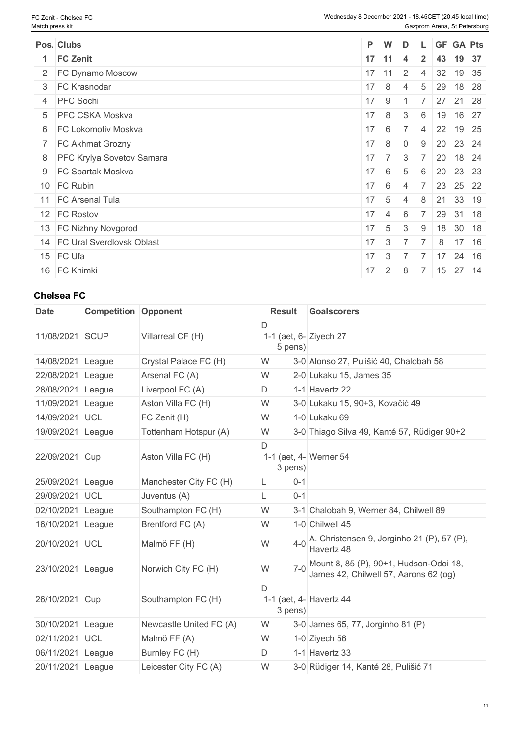| Pos. Clubs                   |              | P W                | D                            |                 |    | L GF GA Pts                                       |  |
|------------------------------|--------------|--------------------|------------------------------|-----------------|----|---------------------------------------------------|--|
| 1 FC Zenit                   |              | $17$ 11            | $\overline{4}$               | $2^{\circ}$     |    | 43 19 37                                          |  |
| 2 FC Dynamo Moscow           |              | $17$ 11            | $\overline{2}$               | $\overline{4}$  |    | 32 19 35                                          |  |
| 3 FC Krasnodar               | $17 \quad 8$ |                    | $\overline{4}$               | $5\phantom{.0}$ | 29 | 18 28                                             |  |
| 4 PFC Sochi                  | $17 \quad 9$ |                    |                              |                 |    | $27$ 21 28                                        |  |
| 5 PFC CSKA Moskva            | $17 \quad 8$ |                    | 3 <sup>3</sup>               | 6               |    | 19 16 27                                          |  |
| 6 FC Lokomotiv Moskva        | $17 \quad 6$ |                    | $\overline{7}$               |                 |    | 4 22 19 25                                        |  |
| 7 FC Akhmat Grozny           | $17 \quad 8$ |                    | $\overline{0}$               | 9               |    | 20 23 24                                          |  |
| 8 PFC Krylya Sovetov Samara  |              | $17 \quad 7$       | $\overline{3}$               | $\overline{7}$  |    | $20 \mid 18 \mid 24$                              |  |
| 9 FC Spartak Moskva          | $17 \quad 6$ |                    | -5                           | 6               |    | 20 23 23                                          |  |
| 10 FC Rubin                  | $17 \quad 6$ |                    | $\overline{4}$               | $7^{\circ}$     |    | 23 25 22                                          |  |
| 11 FC Arsenal Tula           | $17 \quad 5$ |                    | $\overline{4}$               | 8               |    | 21 33 19                                          |  |
| 12 FC Rostov                 |              | $17 \quad 4$       | 6                            | $\overline{7}$  |    | 29 31 18                                          |  |
| 13 FC Nizhny Novgorod        | $17 \quad 5$ |                    | 3                            | 9               |    | $18$ 30 18                                        |  |
| 14 FC Ural Sverdlovsk Oblast |              |                    | $17 \quad 3 \quad 7 \quad 7$ |                 | 8  | 17 16                                             |  |
| 15 FC Ufa                    |              |                    |                              |                 |    | $17 \mid 3 \mid 7 \mid 7 \mid 17 \mid 24 \mid 16$ |  |
| 16 FC Khimki                 |              | $17 \mid 2 \mid 8$ |                              |                 |    | 7 15 27 14                                        |  |

| <b>Date</b>       | <b>Competition Opponent</b> |                         | <b>Result</b>                           | <b>Goalscorers</b>                                                              |
|-------------------|-----------------------------|-------------------------|-----------------------------------------|---------------------------------------------------------------------------------|
| 11/08/2021 SCUP   |                             | Villarreal CF (H)       | D<br>1-1 (aet, 6- Ziyech 27<br>5 pens)  |                                                                                 |
| 14/08/2021        | League                      | Crystal Palace FC (H)   | W                                       | 3-0 Alonso 27, Pulišić 40, Chalobah 58                                          |
| 22/08/2021        | League                      | Arsenal FC (A)          | W                                       | 2-0 Lukaku 15, James 35                                                         |
| 28/08/2021        | League                      | Liverpool FC (A)        | D                                       | 1-1 Havertz 22                                                                  |
| 11/09/2021        | League                      | Aston Villa FC (H)      | W                                       | 3-0 Lukaku 15, 90+3, Kovačić 49                                                 |
| 14/09/2021 UCL    |                             | FC Zenit (H)            | W                                       | 1-0 Lukaku 69                                                                   |
| 19/09/2021 League |                             | Tottenham Hotspur (A)   | W                                       | 3-0 Thiago Silva 49, Kanté 57, Rüdiger 90+2                                     |
| 22/09/2021 Cup    |                             | Aston Villa FC (H)      | D<br>1-1 (aet, 4- Werner 54<br>3 pens)  |                                                                                 |
| 25/09/2021        | League                      | Manchester City FC (H)  | $0 - 1$                                 |                                                                                 |
| 29/09/2021        | UCL                         | Juventus (A)            | $0 - 1$                                 |                                                                                 |
| 02/10/2021        | League                      | Southampton FC (H)      | W                                       | 3-1 Chalobah 9, Werner 84, Chilwell 89                                          |
| 16/10/2021        | League                      | Brentford FC (A)        | W                                       | 1-0 Chilwell 45                                                                 |
| 20/10/2021 UCL    |                             | Malmö FF (H)            | W                                       | 4-0 A. Christensen 9, Jorginho 21 (P), 57 (P),<br>Havertz 48                    |
| 23/10/2021 League |                             | Norwich City FC (H)     | W                                       | Mount 8, 85 (P), 90+1, Hudson-Odoi 18,<br>James 42, Chilwell 57, Aarons 62 (og) |
| 26/10/2021 Cup    |                             | Southampton FC (H)      | D<br>1-1 (aet, 4- Havertz 44<br>3 pens) |                                                                                 |
| 30/10/2021        | League                      | Newcastle United FC (A) | W                                       | 3-0 James 65, 77, Jorginho 81 (P)                                               |
| 02/11/2021        | UCL                         | Malmö FF (A)            | W                                       | 1-0 Ziyech 56                                                                   |
| 06/11/2021        | League                      | Burnley FC (H)          | D                                       | 1-1 Havertz 33                                                                  |
| 20/11/2021 League |                             | Leicester City FC (A)   | W                                       | 3-0 Rüdiger 14, Kanté 28, Pulišić 71                                            |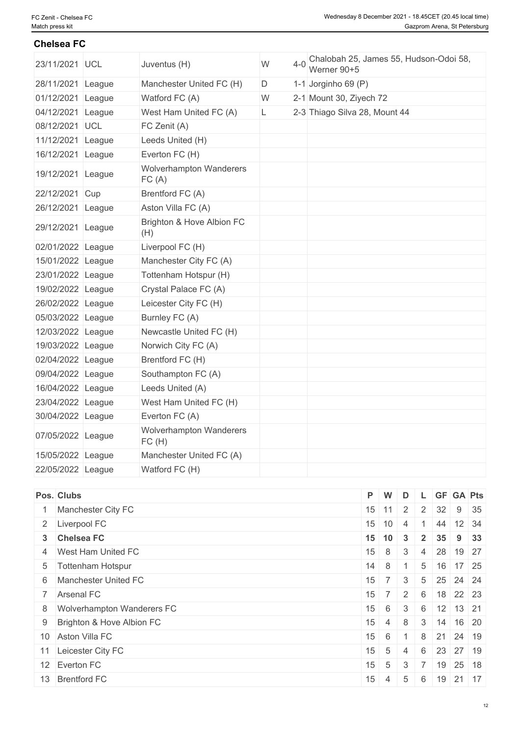| 23/11/2021 UCL    | Juventus (H)                            | W<br>$4 - 0$ | Chalobah 25, James 55, Hudson-Odoi 58,<br>Werner 90+5 |
|-------------------|-----------------------------------------|--------------|-------------------------------------------------------|
| 28/11/2021 League | Manchester United FC (H)                | D            | 1-1 Jorginho 69 (P)                                   |
| 01/12/2021 League | Watford FC (A)                          | W            | 2-1 Mount 30, Ziyech 72                               |
| 04/12/2021 League | West Ham United FC (A)                  | L            | 2-3 Thiago Silva 28, Mount 44                         |
| 08/12/2021 UCL    | FC Zenit (A)                            |              |                                                       |
| 11/12/2021 League | Leeds United (H)                        |              |                                                       |
| 16/12/2021 League | Everton FC (H)                          |              |                                                       |
| 19/12/2021 League | Wolverhampton Wanderers<br>FC(A)        |              |                                                       |
| 22/12/2021 Cup    | Brentford FC (A)                        |              |                                                       |
| 26/12/2021 League | Aston Villa FC (A)                      |              |                                                       |
| 29/12/2021 League | Brighton & Hove Albion FC<br>(H)        |              |                                                       |
| 02/01/2022 League | Liverpool FC (H)                        |              |                                                       |
| 15/01/2022 League | Manchester City FC (A)                  |              |                                                       |
| 23/01/2022 League | Tottenham Hotspur (H)                   |              |                                                       |
| 19/02/2022 League | Crystal Palace FC (A)                   |              |                                                       |
| 26/02/2022 League | Leicester City FC (H)                   |              |                                                       |
| 05/03/2022 League | Burnley FC (A)                          |              |                                                       |
| 12/03/2022 League | Newcastle United FC (H)                 |              |                                                       |
| 19/03/2022 League | Norwich City FC (A)                     |              |                                                       |
| 02/04/2022 League | Brentford FC (H)                        |              |                                                       |
| 09/04/2022 League | Southampton FC (A)                      |              |                                                       |
| 16/04/2022 League | Leeds United (A)                        |              |                                                       |
| 23/04/2022 League | West Ham United FC (H)                  |              |                                                       |
| 30/04/2022 League | Everton FC (A)                          |              |                                                       |
| 07/05/2022 League | <b>Wolverhampton Wanderers</b><br>FC(H) |              |                                                       |
| 15/05/2022 League | Manchester United FC (A)                |              |                                                       |
| 22/05/2022 League | Watford FC (H)                          |              |                                                       |
|                   |                                         |              |                                                       |

|                                                                                                                                                                                                                                                                                                               |                            | D                                            |                                                                                                                           |             |                                   |                                                                                                                                                                                                                                                               |
|---------------------------------------------------------------------------------------------------------------------------------------------------------------------------------------------------------------------------------------------------------------------------------------------------------------|----------------------------|----------------------------------------------|---------------------------------------------------------------------------------------------------------------------------|-------------|-----------------------------------|---------------------------------------------------------------------------------------------------------------------------------------------------------------------------------------------------------------------------------------------------------------|
|                                                                                                                                                                                                                                                                                                               |                            |                                              |                                                                                                                           |             |                                   | $9 \mid 35$                                                                                                                                                                                                                                                   |
|                                                                                                                                                                                                                                                                                                               |                            |                                              |                                                                                                                           |             |                                   |                                                                                                                                                                                                                                                               |
|                                                                                                                                                                                                                                                                                                               |                            |                                              |                                                                                                                           |             |                                   |                                                                                                                                                                                                                                                               |
|                                                                                                                                                                                                                                                                                                               |                            |                                              |                                                                                                                           |             |                                   |                                                                                                                                                                                                                                                               |
|                                                                                                                                                                                                                                                                                                               |                            |                                              |                                                                                                                           |             |                                   |                                                                                                                                                                                                                                                               |
|                                                                                                                                                                                                                                                                                                               |                            |                                              |                                                                                                                           |             |                                   |                                                                                                                                                                                                                                                               |
|                                                                                                                                                                                                                                                                                                               |                            |                                              |                                                                                                                           |             |                                   |                                                                                                                                                                                                                                                               |
|                                                                                                                                                                                                                                                                                                               | 6                          | 3                                            | 6                                                                                                                         |             |                                   |                                                                                                                                                                                                                                                               |
|                                                                                                                                                                                                                                                                                                               |                            | 8                                            |                                                                                                                           |             |                                   |                                                                                                                                                                                                                                                               |
|                                                                                                                                                                                                                                                                                                               |                            |                                              |                                                                                                                           |             |                                   |                                                                                                                                                                                                                                                               |
|                                                                                                                                                                                                                                                                                                               |                            | -4                                           |                                                                                                                           |             |                                   |                                                                                                                                                                                                                                                               |
|                                                                                                                                                                                                                                                                                                               |                            | 3                                            |                                                                                                                           |             |                                   |                                                                                                                                                                                                                                                               |
|                                                                                                                                                                                                                                                                                                               |                            | 5                                            | 6                                                                                                                         |             |                                   |                                                                                                                                                                                                                                                               |
| Pos. Clubs<br>Manchester City FC<br>2 Liverpool FC<br>3 Chelsea FC<br>4 West Ham United FC<br>5   Tottenham Hotspur<br>6 Manchester United FC<br>7 Arsenal FC<br>8 Wolverhampton Wanderers FC<br>9 Brighton & Hove Albion FC<br>10 Aston Villa FC<br>11 Leicester City FC<br>12 Everton FC<br>13 Brentford FC | 15<br>15<br>15<br>15<br>15 | $P$ W<br>15 11<br>$\sim$ 4<br>$\overline{4}$ | $15 \mid 10 \mid 4$<br>$15$ 10 3<br>$15 \quad 8 \quad 3$<br>$14 \quad 8 \quad 1$<br>$15 \ 6 \ 1$<br>$+ 5$<br>$15 \quad 5$ | $7 \quad 3$ | $2 \mid 2 \mid$<br>$\overline{7}$ | L GF GA Pts<br>32<br>44 12 34<br>2 35 9 33<br>4 28 19 27<br>5 16 17 25<br>$5 \mid 25 \mid 24 \mid 24$<br>$15 \mid 7 \mid 2 \mid 6 \mid 18 \mid 22 \mid 23$<br>$12$ 13 21<br>$3 \mid 14 \mid 16 \mid 20$<br>8 21 24 19<br>6 23 27 19<br>19 25 18<br>$19$ 21 17 |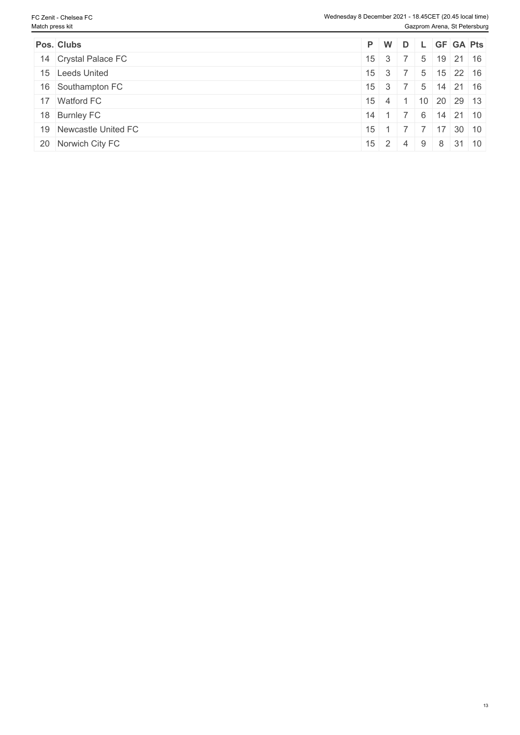| Pos. Clubs             | P W D L GF GA Pts                                      |  |  |  |
|------------------------|--------------------------------------------------------|--|--|--|
| 14 Crystal Palace FC   | $15 \mid 3 \mid 7 \mid 5 \mid 19 \mid 21 \mid 16$      |  |  |  |
| 15 Leeds United        | $15 \mid 3 \mid 7 \mid 5 \mid 15 \mid 22 \mid 16 \mid$ |  |  |  |
| 16 Southampton FC      | $15 \mid 3 \mid 7 \mid 5 \mid 14 \mid 21 \mid 16 \mid$ |  |  |  |
| 17 Watford FC          | $15 \mid 4 \mid 1 \mid 10 \mid 20 \mid 29 \mid 13$     |  |  |  |
| 18 Burnley FC          | $14$ 1 7 6 14 21 10                                    |  |  |  |
| 19 Newcastle United FC | $15$ 1 7 7 17 30 10                                    |  |  |  |
| 20 Norwich City FC     | $15$ 2 4 9 8 31 10                                     |  |  |  |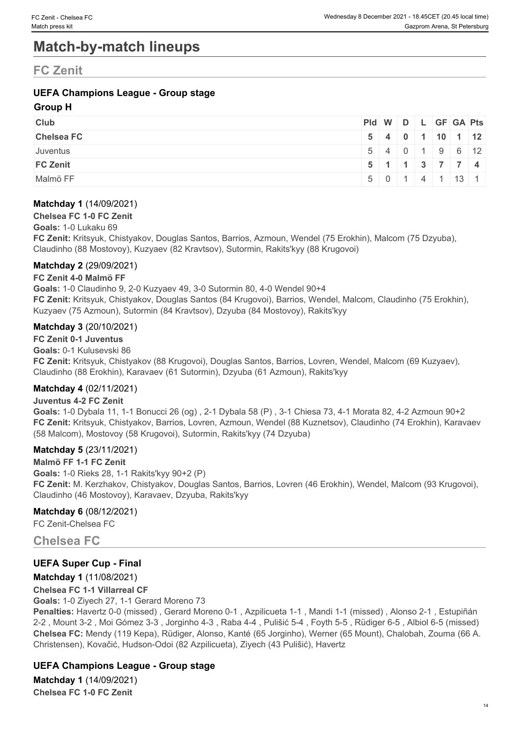## **Match-by-match lineups**

## **FC Zenit**

## **UEFA Champions League - Group stage**

## **Group H**

| <b>Club</b>       | Pid W D L GF GA Pts |  |  |                                                    |  |
|-------------------|---------------------|--|--|----------------------------------------------------|--|
| <b>Chelsea FC</b> |                     |  |  | $5$ 4 0 1 10 1 12                                  |  |
| Juventus          |                     |  |  | 5   4   0   1   9   6   12                         |  |
| <b>FC Zenit</b>   |                     |  |  | $5 \mid 1 \mid 1 \mid 3 \mid 7 \mid 7 \mid 4 \mid$ |  |
| Malmö FF          |                     |  |  | $5 \mid 0 \mid 1 \mid 4 \mid 1 \mid 13 \mid 1$     |  |

## **Matchday 1** (14/09/2021)

#### **Chelsea FC 1-0 FC Zenit**

#### **Goals:** 1-0 Lukaku 69

**FC Zenit:** Kritsyuk, Chistyakov, Douglas Santos, Barrios, Azmoun, Wendel (75 Erokhin), Malcom (75 Dzyuba), Claudinho (88 Mostovoy), Kuzyaev (82 Kravtsov), Sutormin, Rakits'kyy (88 Krugovoi)

### **Matchday 2** (29/09/2021)

### **FC Zenit 4-0 Malmö FF**

**Goals:** 1-0 Claudinho 9, 2-0 Kuzyaev 49, 3-0 Sutormin 80, 4-0 Wendel 90+4 **FC Zenit:** Kritsyuk, Chistyakov, Douglas Santos (84 Krugovoi), Barrios, Wendel, Malcom, Claudinho (75 Erokhin), Kuzyaev (75 Azmoun), Sutormin (84 Kravtsov), Dzyuba (84 Mostovoy), Rakits'kyy

### **Matchday 3** (20/10/2021)

**FC Zenit 0-1 Juventus Goals:** 0-1 Kulusevski 86 **FC Zenit:** Kritsyuk, Chistyakov (88 Krugovoi), Douglas Santos, Barrios, Lovren, Wendel, Malcom (69 Kuzyaev), Claudinho (88 Erokhin), Karavaev (61 Sutormin), Dzyuba (61 Azmoun), Rakits'kyy

### **Matchday 4** (02/11/2021)

### **Juventus 4-2 FC Zenit**

**Goals:** 1-0 Dybala 11, 1-1 Bonucci 26 (og) , 2-1 Dybala 58 (P) , 3-1 Chiesa 73, 4-1 Morata 82, 4-2 Azmoun 90+2 **FC Zenit:** Kritsyuk, Chistyakov, Barrios, Lovren, Azmoun, Wendel (88 Kuznetsov), Claudinho (74 Erokhin), Karavaev (58 Malcom), Mostovoy (58 Krugovoi), Sutormin, Rakits'kyy (74 Dzyuba)

### **Matchday 5** (23/11/2021)

**Malmö FF 1-1 FC Zenit Goals:** 1-0 Rieks 28, 1-1 Rakits'kyy 90+2 (P) **FC Zenit:** M. Kerzhakov, Chistyakov, Douglas Santos, Barrios, Lovren (46 Erokhin), Wendel, Malcom (93 Krugovoi), Claudinho (46 Mostovoy), Karavaev, Dzyuba, Rakits'kyy

### **Matchday 6** (08/12/2021)

FC Zenit-Chelsea FC

## **Chelsea FC**

## **UEFA Super Cup - Final**

## **Matchday 1** (11/08/2021)

### **Chelsea FC 1-1 Villarreal CF**

**Goals:** 1-0 Ziyech 27, 1-1 Gerard Moreno 73

**Penalties:** Havertz 0-0 (missed) , Gerard Moreno 0-1 , Azpilicueta 1-1 , Mandi 1-1 (missed) , Alonso 2-1 , Estupiñán 2-2 , Mount 3-2 , Moi Gómez 3-3 , Jorginho 4-3 , Raba 4-4 , Pulišić 5-4 , Foyth 5-5 , Rüdiger 6-5 , Albiol 6-5 (missed) **Chelsea FC:** Mendy (119 Kepa), Rüdiger, Alonso, Kanté (65 Jorginho), Werner (65 Mount), Chalobah, Zouma (66 A. Christensen), Kovačić, Hudson-Odoi (82 Azpilicueta), Ziyech (43 Pulišić), Havertz

## **UEFA Champions League - Group stage**

**Matchday 1** (14/09/2021) **Chelsea FC 1-0 FC Zenit**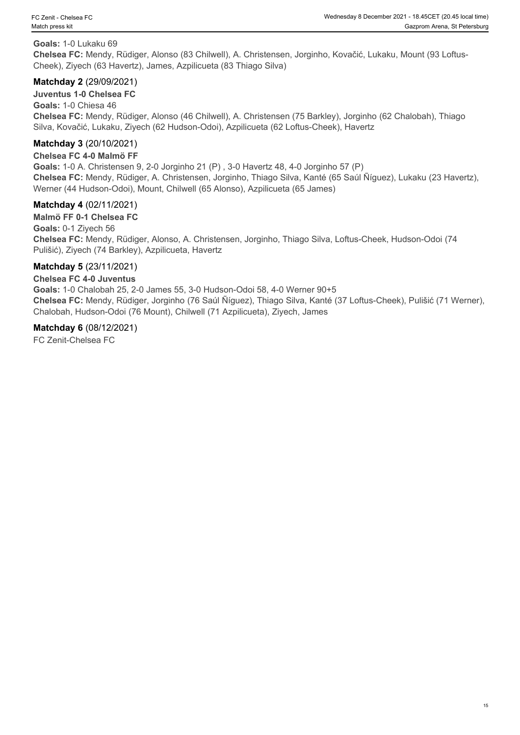### **Goals:** 1-0 Lukaku 69

**Chelsea FC:** Mendy, Rüdiger, Alonso (83 Chilwell), A. Christensen, Jorginho, Kovačić, Lukaku, Mount (93 Loftus-Cheek), Ziyech (63 Havertz), James, Azpilicueta (83 Thiago Silva)

## **Matchday 2** (29/09/2021)

**Juventus 1-0 Chelsea FC**

**Goals:** 1-0 Chiesa 46 **Chelsea FC:** Mendy, Rüdiger, Alonso (46 Chilwell), A. Christensen (75 Barkley), Jorginho (62 Chalobah), Thiago Silva, Kovačić, Lukaku, Ziyech (62 Hudson-Odoi), Azpilicueta (62 Loftus-Cheek), Havertz

## **Matchday 3** (20/10/2021)

#### **Chelsea FC 4-0 Malmö FF**

**Goals:** 1-0 A. Christensen 9, 2-0 Jorginho 21 (P) , 3-0 Havertz 48, 4-0 Jorginho 57 (P) **Chelsea FC:** Mendy, Rüdiger, A. Christensen, Jorginho, Thiago Silva, Kanté (65 Saúl Ñíguez), Lukaku (23 Havertz), Werner (44 Hudson-Odoi), Mount, Chilwell (65 Alonso), Azpilicueta (65 James)

### **Matchday 4** (02/11/2021)

**Malmö FF 0-1 Chelsea FC Goals:** 0-1 Ziyech 56 **Chelsea FC:** Mendy, Rüdiger, Alonso, A. Christensen, Jorginho, Thiago Silva, Loftus-Cheek, Hudson-Odoi (74 Pulišić), Ziyech (74 Barkley), Azpilicueta, Havertz

### **Matchday 5** (23/11/2021)

### **Chelsea FC 4-0 Juventus**

**Goals:** 1-0 Chalobah 25, 2-0 James 55, 3-0 Hudson-Odoi 58, 4-0 Werner 90+5 **Chelsea FC:** Mendy, Rüdiger, Jorginho (76 Saúl Ñíguez), Thiago Silva, Kanté (37 Loftus-Cheek), Pulišić (71 Werner), Chalobah, Hudson-Odoi (76 Mount), Chilwell (71 Azpilicueta), Ziyech, James

### **Matchday 6** (08/12/2021)

FC Zenit-Chelsea FC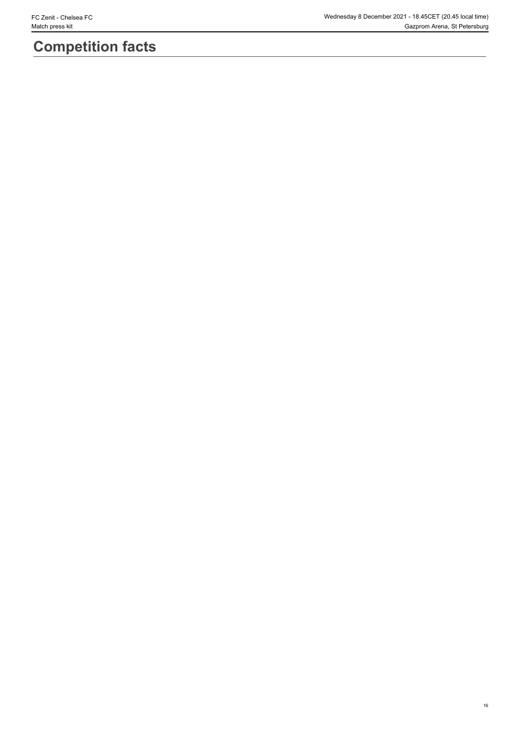# **Competition facts**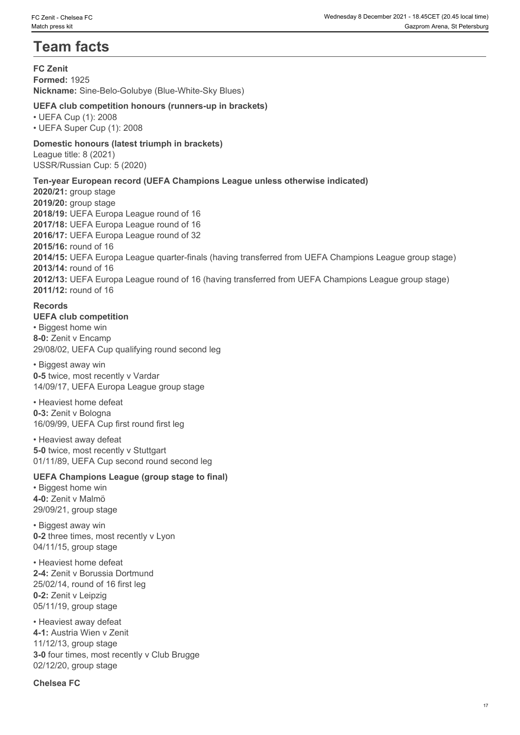## **Team facts**

**FC Zenit Formed:** 1925 **Nickname:** Sine-Belo-Golubye (Blue-White-Sky Blues)

## **UEFA club competition honours (runners-up in brackets)**

• UEFA Cup (1): 2008 • UEFA Super Cup (1): 2008

## **Domestic honours (latest triumph in brackets)**

League title: 8 (2021) USSR/Russian Cup: 5 (2020)

## **Ten-year European record (UEFA Champions League unless otherwise indicated)**

**2020/21:** group stage **2019/20:** group stage **2018/19:** UEFA Europa League round of 16 **2017/18:** UEFA Europa League round of 16 **2016/17:** UEFA Europa League round of 32 **2015/16:** round of 16 **2014/15:** UEFA Europa League quarter-finals (having transferred from UEFA Champions League group stage) **2013/14:** round of 16 **2012/13:** UEFA Europa League round of 16 (having transferred from UEFA Champions League group stage) **2011/12:** round of 16

### **Records**

#### **UEFA club competition** • Biggest home win **8-0:** Zenit v Encamp 29/08/02, UEFA Cup qualifying round second leg

• Biggest away win **0-5** twice, most recently v Vardar 14/09/17, UEFA Europa League group stage

• Heaviest home defeat **0-3:** Zenit v Bologna 16/09/99, UEFA Cup first round first leg

• Heaviest away defeat **5-0 twice, most recently v Stuttgart** 01/11/89, UEFA Cup second round second leg

## **UEFA Champions League (group stage to final)**

• Biggest home win **4-0:** Zenit v Malmö 29/09/21, group stage

• Biggest away win **0-2** three times, most recently v Lyon 04/11/15, group stage

• Heaviest home defeat **2-4:** Zenit v Borussia Dortmund 25/02/14, round of 16 first leg **0-2:** Zenit v Leipzig 05/11/19, group stage

• Heaviest away defeat **4-1:** Austria Wien v Zenit 11/12/13, group stage **3-0** four times, most recently v Club Brugge 02/12/20, group stage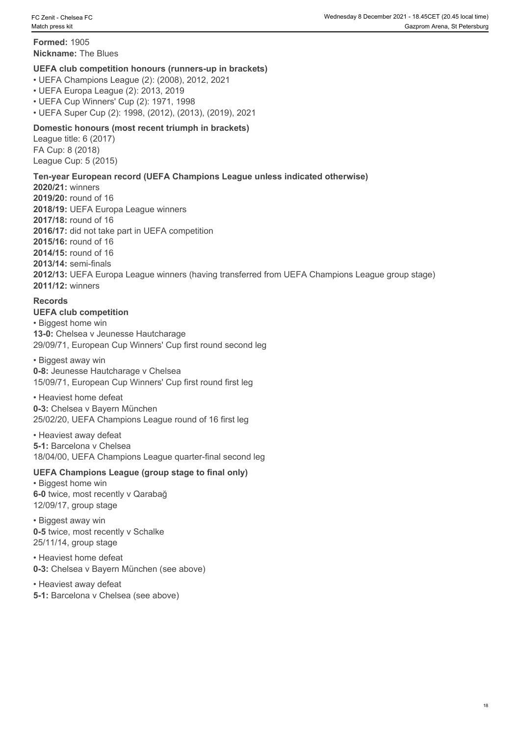**Formed:** 1905 **Nickname:** The Blues

### **UEFA club competition honours (runners-up in brackets)**

• UEFA Champions League (2): (2008), 2012, 2021

• UEFA Europa League (2): 2013, 2019

• UEFA Cup Winners' Cup (2): 1971, 1998

• UEFA Super Cup (2): 1998, (2012), (2013), (2019), 2021

## **Domestic honours (most recent triumph in brackets)**

League title: 6 (2017) FA Cup: 8 (2018) League Cup: 5 (2015)

## **Ten-year European record (UEFA Champions League unless indicated otherwise)**

**2020/21:** winners **2019/20:** round of 16 **2018/19:** UEFA Europa League winners **2017/18:** round of 16 **2016/17:** did not take part in UEFA competition **2015/16:** round of 16 **2014/15:** round of 16 **2013/14:** semi-finals **2012/13:** UEFA Europa League winners (having transferred from UEFA Champions League group stage) **2011/12:** winners

## **Records**

## **UEFA club competition**

• Biggest home win **13-0:** Chelsea v Jeunesse Hautcharage 29/09/71, European Cup Winners' Cup first round second leg

• Biggest away win **0-8:** Jeunesse Hautcharage v Chelsea 15/09/71, European Cup Winners' Cup first round first leg

### • Heaviest home defeat

**0-3:** Chelsea v Bayern München 25/02/20, UEFA Champions League round of 16 first leg

• Heaviest away defeat **5-1:** Barcelona v Chelsea 18/04/00, UEFA Champions League quarter-final second leg

## **UEFA Champions League (group stage to final only)**

• Biggest home win **6-0** twice, most recently v Qarabağ 12/09/17, group stage

• Biggest away win **0-5** twice, most recently v Schalke 25/11/14, group stage

• Heaviest home defeat **0-3:** Chelsea v Bayern München (see above)

• Heaviest away defeat

**5-1:** Barcelona v Chelsea (see above)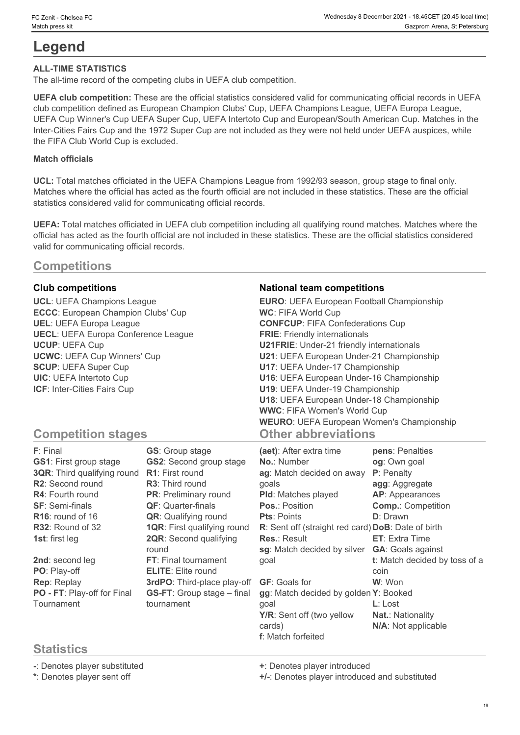## **Legend**

## **ALL-TIME STATISTICS**

The all-time record of the competing clubs in UEFA club competition.

**UEFA club competition:** These are the official statistics considered valid for communicating official records in UEFA club competition defined as European Champion Clubs' Cup, UEFA Champions League, UEFA Europa League, UEFA Cup Winner's Cup UEFA Super Cup, UEFA Intertoto Cup and European/South American Cup. Matches in the Inter-Cities Fairs Cup and the 1972 Super Cup are not included as they were not held under UEFA auspices, while the FIFA Club World Cup is excluded.

## **Match officials**

**UCL:** Total matches officiated in the UEFA Champions League from 1992/93 season, group stage to final only. Matches where the official has acted as the fourth official are not included in these statistics. These are the official statistics considered valid for communicating official records.

**UEFA:** Total matches officiated in UEFA club competition including all qualifying round matches. Matches where the official has acted as the fourth official are not included in these statistics. These are the official statistics considered valid for communicating official records.

## **Competitions**

**ECCC**: European Champion Clubs' Cup **UECL**: UEFA Europa Conference League

## **Club competitions National team competitions**

**UCL**: UEFA Champions League **EURO**: UEFA European Football Championship **UEL**: UEFA Europa League **CONFCUP**: FIFA Confederations Cup **UCUP**: UEFA Cup **U21FRIE**: Under-21 friendly internationals **UCWC**: UEFA Cup Winners' Cup **U21**: UEFA European Under-21 Championship **SCUP**: UEFA Super Cup **U17**: UEFA Under-17 Championship **UIC**: UEFA Intertoto Cup **U16**: UEFA European Under-16 Championship **ICF**: Inter-Cities Fairs Cup **U19**: UEFA Under-19 Championship **WC**: FIFA World Cup **FRIE**: Friendly internationals **U18**: UEFA European Under-18 Championship **WWC**: FIFA Women's World Cup **WEURO**: UEFA European Women's Championship **Other abbreviations**

## **Competition stages**

| F: Final                      | <b>GS:</b> Group stage             | (aet): After extra time                            | pens: Penalties               |
|-------------------------------|------------------------------------|----------------------------------------------------|-------------------------------|
| <b>GS1: First group stage</b> | <b>GS2:</b> Second group stage     | <b>No.: Number</b>                                 | og: Own goal                  |
| 3QR: Third qualifying round   | <b>R1:</b> First round             | ag: Match decided on away                          | <b>P</b> : Penalty            |
| R2: Second round              | <b>R3:</b> Third round             | qoals                                              | agg: Aggregate                |
| <b>R4: Fourth round</b>       | PR: Preliminary round              | <b>PId:</b> Matches played                         | <b>AP:</b> Appearances        |
| <b>SF: Semi-finals</b>        | <b>QF:</b> Quarter-finals          | <b>Pos.: Position</b>                              | <b>Comp.: Competition</b>     |
| R <sub>16</sub> : round of 16 | <b>QR:</b> Qualifying round        | <b>Pts: Points</b>                                 | <b>D</b> : Drawn              |
| R32: Round of 32              | <b>1QR:</b> First qualifying round | R: Sent off (straight red card) DoB: Date of birth |                               |
| 1st: first leg                | <b>2QR:</b> Second qualifying      | <b>Res.: Result</b>                                | <b>ET:</b> Extra Time         |
|                               | round                              | sg: Match decided by silver                        | <b>GA: Goals against</b>      |
| 2nd: second leg               | FT: Final tournament               | goal                                               | t: Match decided by toss of a |
| PO: Play-off                  | <b>ELITE:</b> Elite round          |                                                    | coin                          |
| Rep: Replay                   | 3rdPO: Third-place play-off        | <b>GF: Goals for</b>                               | W: Won                        |
| PO - FT: Play-off for Final   | <b>GS-FT:</b> Group stage - final  | gg: Match decided by golden Y: Booked              |                               |
| Tournament                    | tournament                         | qoal                                               | $L:$ Lost                     |
|                               |                                    | Y/R: Sent off (two yellow                          | <b>Nat.: Nationality</b>      |
|                               |                                    | cards)                                             | N/A: Not applicable           |
|                               |                                    | <b>f</b> : Match forfeited                         |                               |

## **Statistics**

**-**: Denotes player substituted **+**: Denotes player introduced

**\***: Denotes player sent off **+/-**: Denotes player introduced and substituted